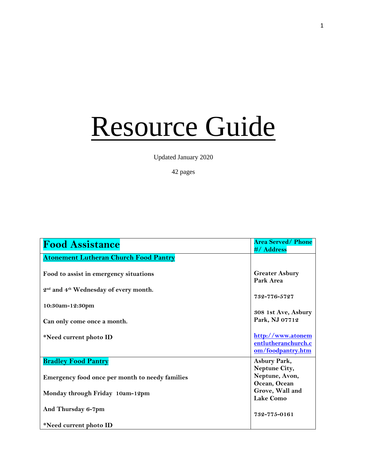## Resource Guide

Updated January 2020

## 42 pages

| <b>Food Assistance</b>                                        | <b>Area Served/Phone</b><br>#/ Address                        |
|---------------------------------------------------------------|---------------------------------------------------------------|
| <b>Atonement Lutheran Church Food Pantry</b>                  |                                                               |
| Food to assist in emergency situations                        | <b>Greater Asbury</b><br>Park Area                            |
| 2 <sup>nd</sup> and 4 <sup>th</sup> Wednesday of every month. | 732-776-5727                                                  |
| 10:30am-12:30pm                                               | 308 1st Ave, Asbury                                           |
| Can only come once a month.                                   | Park, NJ 07712                                                |
| *Need current photo ID                                        | http://www.atonem<br>entlutheranchurch.c<br>om/foodpantry.htm |
| <b>Bradley Food Pantry</b>                                    | Asbury Park,<br>Neptune City,                                 |
| Emergency food once per month to needy families               | Neptune, Avon,<br>Ocean, Ocean                                |
| Monday through Friday 10am-12pm                               | Grove, Wall and<br><b>Lake Como</b>                           |
| And Thursday 6-7pm                                            | 732-775-0161                                                  |
| *Need current photo ID                                        |                                                               |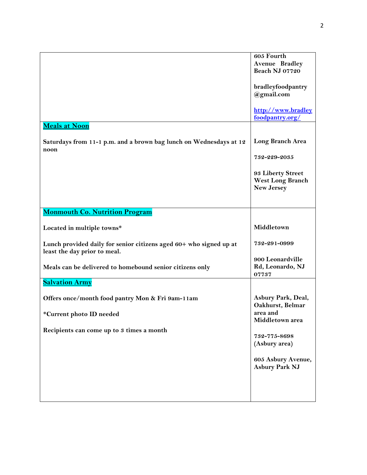|                                                                                                    | 605 Fourth<br>Avenue Bradley<br>Beach NJ 07720             |
|----------------------------------------------------------------------------------------------------|------------------------------------------------------------|
|                                                                                                    | bradleyfoodpantry<br>@gmail.com                            |
|                                                                                                    | http://www.bradley<br>foodpantry.org/                      |
| Meals at Noon                                                                                      |                                                            |
| Saturdays from 11-1 p.m. and a brown bag lunch on Wednesdays at 12<br>noon                         | Long Branch Area                                           |
|                                                                                                    | 732-229-2035                                               |
|                                                                                                    | 93 Liberty Street<br>West Long Branch<br><b>New Jersey</b> |
| <b>Monmouth Co. Nutrition Program</b>                                                              |                                                            |
|                                                                                                    |                                                            |
| Located in multiple towns*                                                                         | Middletown                                                 |
| Lunch provided daily for senior citizens aged 60+ who signed up at<br>least the day prior to meal. | 732-291-0999                                               |
| Meals can be delivered to homebound senior citizens only                                           | 900 Leonardville<br>Rd, Leonardo, NJ<br>07737              |
| <b>Salvation Army</b>                                                                              |                                                            |
| Offers once/month food pantry Mon & Fri 9am-11am                                                   | Asbury Park, Deal,<br>Oakhurst, Belmar                     |
| *Current photo ID needed                                                                           | area and<br>Middletown area                                |
| Recipients can come up to 3 times a month                                                          | 732-775-8698<br>(Asbury area)                              |
|                                                                                                    | 605 Asbury Avenue,<br><b>Asbury Park NJ</b>                |
|                                                                                                    |                                                            |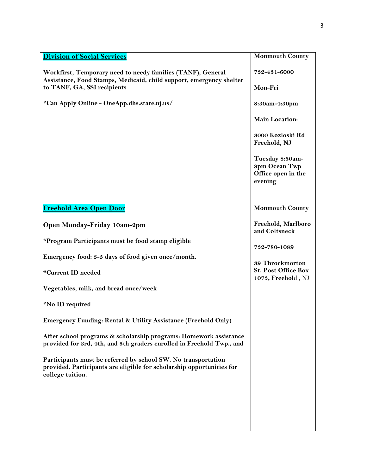| <b>Division of Social Services</b>                                                                                                                         | <b>Monmouth County</b>                                            |
|------------------------------------------------------------------------------------------------------------------------------------------------------------|-------------------------------------------------------------------|
| Workfirst, Temporary need to needy families (TANF), General<br>Assistance, Food Stamps, Medicaid, child support, emergency shelter                         | 732-431-6000                                                      |
| to TANF, GA, SSI recipients                                                                                                                                | Mon-Fri                                                           |
| *Can Apply Online - OneApp.dhs.state.nj.us/                                                                                                                | 8:30am-4:30pm                                                     |
|                                                                                                                                                            | Main Location:                                                    |
|                                                                                                                                                            | 3000 Kozloski Rd<br>Freehold, NJ                                  |
|                                                                                                                                                            | Tuesday 8:30am-<br>8pm Ocean Twp<br>Office open in the<br>evening |
|                                                                                                                                                            |                                                                   |
| Freehold Area Open Door                                                                                                                                    | <b>Monmouth County</b>                                            |
| Open Monday-Friday 10am-2pm                                                                                                                                | Freehold, Marlboro<br>and Coltsneck                               |
| *Program Participants must be food stamp eligible                                                                                                          | 732-780-1089                                                      |
| Emergency food: 3-5 days of food given once/month.                                                                                                         | 39 Throckmorton                                                   |
| *Current ID needed                                                                                                                                         | <b>St. Post Office Box</b><br>1073, Freehold, NJ                  |
| Vegetables, milk, and bread once/week                                                                                                                      |                                                                   |
| *No ID required                                                                                                                                            |                                                                   |
| Emergency Funding: Rental & Utility Assistance (Freehold Only)                                                                                             |                                                                   |
| After school programs & scholarship programs: Homework assistance<br>provided for 3rd, 4th, and 5th graders enrolled in Freehold Twp., and                 |                                                                   |
| Participants must be referred by school SW. No transportation<br>provided. Participants are eligible for scholarship opportunities for<br>college tuition. |                                                                   |
|                                                                                                                                                            |                                                                   |
|                                                                                                                                                            |                                                                   |
|                                                                                                                                                            |                                                                   |
|                                                                                                                                                            |                                                                   |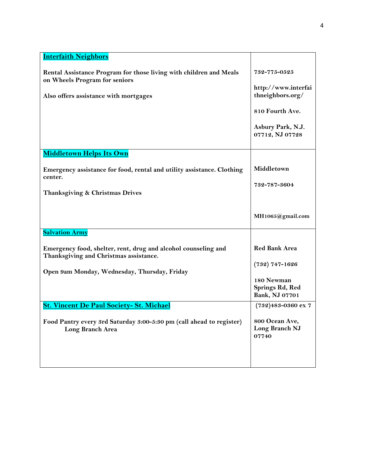| <b>Interfaith Neighbors</b>                                                                              |                                                 |
|----------------------------------------------------------------------------------------------------------|-------------------------------------------------|
| Rental Assistance Program for those living with children and Meals<br>on Wheels Program for seniors      | 732-775-0525<br>http://www.interfai             |
| Also offers assistance with mortgages                                                                    | thneighbors.org/                                |
|                                                                                                          | 810 Fourth Ave.                                 |
|                                                                                                          | Asbury Park, N.J.<br>07712, NJ 07728            |
| <b>Middletown Helps Its Own</b>                                                                          |                                                 |
| Emergency assistance for food, rental and utility assistance. Clothing<br>center.                        | Middletown                                      |
| Thanksgiving & Christmas Drives                                                                          | 732-787-3604                                    |
|                                                                                                          |                                                 |
|                                                                                                          | MH1065@gmail.com                                |
| <b>Salvation Army</b>                                                                                    |                                                 |
| Emergency food, shelter, rent, drug and alcohol counseling and<br>Thanksgiving and Christmas assistance. | <b>Red Bank Area</b>                            |
| Open 9am Monday, Wednesday, Thursday, Friday                                                             | $(732)$ 747-1626                                |
|                                                                                                          | 180 Newman<br>Springs Rd, Red<br>Bank, NJ 07701 |
| <b>St. Vincent De Paul Society- St. Michael</b>                                                          | $(732)483 - 0360$ ex 7                          |
| Food Pantry every 3rd Saturday 3:00-5:30 pm (call ahead to register)<br><b>Long Branch Area</b>          | 800 Ocean Ave,<br>Long Branch NJ<br>07740       |
|                                                                                                          |                                                 |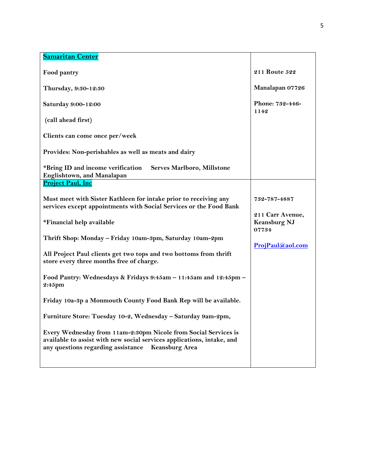| <b>Samaritan Center</b>                                                                                                                                                                                  |                                                  |
|----------------------------------------------------------------------------------------------------------------------------------------------------------------------------------------------------------|--------------------------------------------------|
| Food pantry                                                                                                                                                                                              | 211 Route 522                                    |
| Thursday, 9:30-12:30                                                                                                                                                                                     | Manalapan 07726                                  |
| Saturday 9:00-12:00                                                                                                                                                                                      | Phone: 732-446-<br>1142                          |
| (call ahead first)                                                                                                                                                                                       |                                                  |
| Clients can come once per/week                                                                                                                                                                           |                                                  |
| Provides: Non-perishables as well as meats and dairy                                                                                                                                                     |                                                  |
| *Bring ID and income verification<br>Serves Marlboro, Millstone<br>Englishtown, and Manalapan                                                                                                            |                                                  |
| <b>Project Paul, Inc</b>                                                                                                                                                                                 |                                                  |
| Must meet with Sister Kathleen for intake prior to receiving any<br>services except appointments with Social Services or the Food Bank                                                                   | 732-787-4887                                     |
| *Financial help available                                                                                                                                                                                | 211 Carr Avenue,<br><b>Keansburg NJ</b><br>07734 |
| Thrift Shop: Monday - Friday 10am-3pm, Saturday 10am-2pm                                                                                                                                                 | ProjPaul@aol.com                                 |
| All Project Paul clients get two tops and two bottoms from thrift<br>store every three months free of charge.                                                                                            |                                                  |
| Food Pantry: Wednesdays & Fridays 9:45am - 11:45am and 12:45pm -<br>2:45pm                                                                                                                               |                                                  |
| Friday 10a-3p a Monmouth County Food Bank Rep will be available.                                                                                                                                         |                                                  |
| Furniture Store: Tuesday 10-2, Wednesday - Saturday 9am-2pm,                                                                                                                                             |                                                  |
| Every Wednesday from 11am-2:30pm Nicole from Social Services is<br>available to assist with new social services applications, intake, and<br>any questions regarding assistance<br><b>Keansburg Area</b> |                                                  |
|                                                                                                                                                                                                          |                                                  |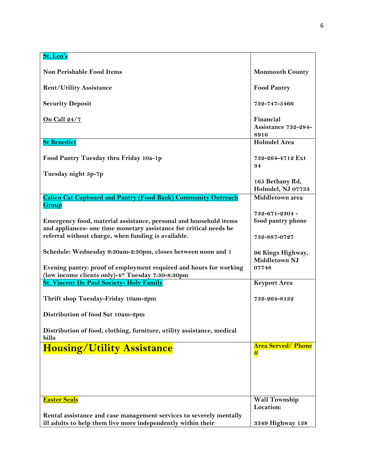| St. Leo's                                                                                                                           |                                           |
|-------------------------------------------------------------------------------------------------------------------------------------|-------------------------------------------|
| <b>Non Perishable Food Items</b>                                                                                                    | <b>Monmouth County</b>                    |
| <b>Rent/Utility Assistance</b>                                                                                                      | <b>Food Pantry</b>                        |
| <b>Security Deposit</b>                                                                                                             | 732-747-5466                              |
| <u>On Call 24/7</u>                                                                                                                 | Financial<br>Assistance 732-284-<br>8916  |
| <b>St Benedict</b>                                                                                                                  | <b>Holmdel Area</b>                       |
| Food Pantry Tuesday thru Friday 10a-1p                                                                                              | 732-264-4712 Ext<br>34                    |
| Tuesday night 5p-7p                                                                                                                 | 165 Bethany Rd,<br>Holmdel, NJ 07733      |
| <b>Calico Cat Cupboard and Pantry (Food Bank) Community Outreach</b>                                                                | Middletown area                           |
| <b>Group</b><br>Emergency food, material assistance, personal and household items                                                   | 732-671-2304 -<br>food pantry phone       |
| and appliances- one time monetary assistance for critical needs be<br>referral without charge, when funding is available.           | 732-887-0727                              |
| Schedule: Wednesday 9:30am-2:30pm, closes between noon and 1                                                                        | 96 Kings Highway,<br><b>Middletown NJ</b> |
| Evening pantry: proof of employment required and hours for working<br>(low income clients only)-4 <sup>th</sup> Tuesday 7:30-8:30pm | 07748                                     |
| <b>St. Vincent De Paul Society- Holy Family</b>                                                                                     | <b>Keyport Area</b>                       |
| Thrift shop Tuesday-Friday 10am-2pm                                                                                                 | 732-264-8132                              |
| Distribution of food Sat 10am-2pm                                                                                                   |                                           |
| Distribution of food, clothing, furniture, utility assistance, medical<br>bills                                                     |                                           |
| <b>Housing/Utility Assistance</b>                                                                                                   | <b>Area Served/ Phone</b><br>#            |
|                                                                                                                                     |                                           |
| <b>Easter Seals</b>                                                                                                                 | <b>Wall Township</b><br>Location:         |
| Rental assistance and case management services to severely mentally<br>ill adults to help them live more independently within their | 3349 Highway 138                          |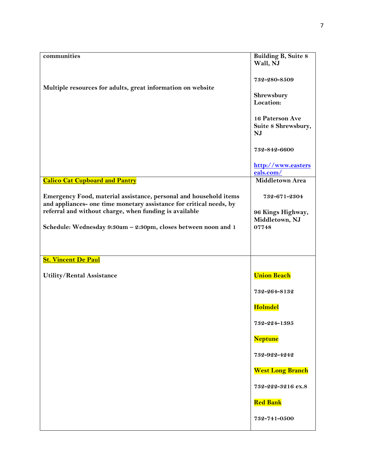| $commu$ nities                                                                                                                                                                                                                                                       | <b>Building B, Suite 8</b>                                   |
|----------------------------------------------------------------------------------------------------------------------------------------------------------------------------------------------------------------------------------------------------------------------|--------------------------------------------------------------|
|                                                                                                                                                                                                                                                                      | Wall, NJ                                                     |
|                                                                                                                                                                                                                                                                      | 732-280-8509                                                 |
| Multiple resources for adults, great information on website                                                                                                                                                                                                          | Shrewsbury<br>Location:                                      |
|                                                                                                                                                                                                                                                                      | 16 Paterson Ave<br>Suite 8 Shrewsbury,<br>NJ                 |
|                                                                                                                                                                                                                                                                      | 732-842-6600                                                 |
|                                                                                                                                                                                                                                                                      | http://www.easters<br>eals.com/                              |
| <b>Calico Cat Cupboard and Pantry</b>                                                                                                                                                                                                                                | <b>Middletown Area</b>                                       |
| Emergency Food, material assistance, personal and household items<br>and appliances- one time monetary assistance for critical needs, by<br>referral and without charge, when funding is available<br>Schedule: Wednesday 9:30am - 2:30pm, closes between noon and 1 | 732-671-2304<br>96 Kings Highway,<br>Middletown, NJ<br>07748 |
| <b>St. Vincent De Paul</b>                                                                                                                                                                                                                                           |                                                              |
| Utility/Rental Assistance                                                                                                                                                                                                                                            | <b>Union Beach</b>                                           |
|                                                                                                                                                                                                                                                                      | 732-264-8132                                                 |
|                                                                                                                                                                                                                                                                      | <b>Holmdel</b>                                               |
|                                                                                                                                                                                                                                                                      | 732-224-1395                                                 |
|                                                                                                                                                                                                                                                                      | <b>Neptune</b>                                               |
|                                                                                                                                                                                                                                                                      | 732-922-4242                                                 |
|                                                                                                                                                                                                                                                                      | <b>West Long Branch</b>                                      |
|                                                                                                                                                                                                                                                                      | 732-222-3216 ex.8                                            |
|                                                                                                                                                                                                                                                                      | <b>Red Bank</b>                                              |
|                                                                                                                                                                                                                                                                      | 732-741-0500                                                 |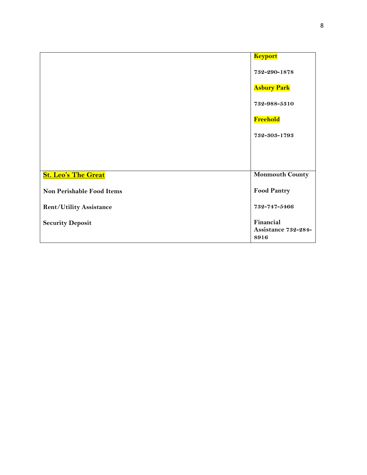|                                  | <b>Keyport</b>         |
|----------------------------------|------------------------|
|                                  | 732-290-1878           |
|                                  | <b>Asbury Park</b>     |
|                                  | 732-988-5310           |
|                                  | Freehold               |
|                                  | 732-303-1793           |
|                                  |                        |
|                                  |                        |
| <b>St. Leo's The Great</b>       | <b>Monmouth County</b> |
| <b>Non Perishable Food Items</b> | <b>Food Pantry</b>     |
| <b>Rent/Utility Assistance</b>   | 732-747-5466           |
| <b>Security Deposit</b>          | Financial              |
|                                  | Assistance 732-284-    |
|                                  | 8916                   |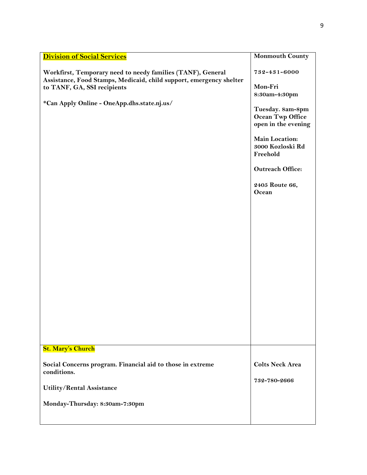| <b>Division of Social Services</b>                                                                                                                                                                               | <b>Monmouth County</b>                                                                                                                                                                                                 |
|------------------------------------------------------------------------------------------------------------------------------------------------------------------------------------------------------------------|------------------------------------------------------------------------------------------------------------------------------------------------------------------------------------------------------------------------|
| Workfirst, Temporary need to needy families (TANF), General<br>Assistance, Food Stamps, Medicaid, child support, emergency shelter<br>to TANF, GA, SSI recipients<br>*Can Apply Online - OneApp.dhs.state.nj.us/ | 732-431-6000<br>Mon-Fri<br>8:30am-4:30pm<br>Tuesday. 8am-8pm<br>Ocean Twp Office<br>open in the evening<br><b>Main Location:</b><br>3000 Kozloski Rd<br>Freehold<br><b>Outreach Office:</b><br>2405 Route 66,<br>Ocean |
| <b>St. Mary's Church</b>                                                                                                                                                                                         |                                                                                                                                                                                                                        |
| Social Concerns program. Financial aid to those in extreme                                                                                                                                                       | <b>Colts Neck Area</b>                                                                                                                                                                                                 |
| conditions.                                                                                                                                                                                                      | 732-780-2666                                                                                                                                                                                                           |
| Utility/Rental Assistance                                                                                                                                                                                        |                                                                                                                                                                                                                        |
| Monday-Thursday: 8:30am-7:30pm                                                                                                                                                                                   |                                                                                                                                                                                                                        |
|                                                                                                                                                                                                                  |                                                                                                                                                                                                                        |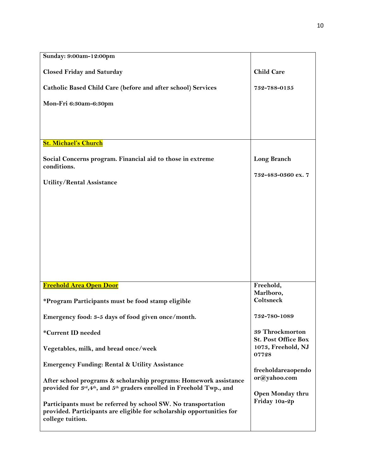| Sunday: 9:00am-12:00pm                                                                                                                                     |                                               |
|------------------------------------------------------------------------------------------------------------------------------------------------------------|-----------------------------------------------|
| <b>Closed Friday and Saturday</b>                                                                                                                          | <b>Child Care</b>                             |
| Catholic Based Child Care (before and after school) Services                                                                                               | 732-788-0135                                  |
| Mon-Fri 6:30am-6:30pm                                                                                                                                      |                                               |
|                                                                                                                                                            |                                               |
|                                                                                                                                                            |                                               |
| <b>St. Michael's Church</b>                                                                                                                                |                                               |
| Social Concerns program. Financial aid to those in extreme<br>conditions.                                                                                  | Long Branch                                   |
| <b>Utility/Rental Assistance</b>                                                                                                                           | 732-483-0360 ex. 7                            |
|                                                                                                                                                            |                                               |
|                                                                                                                                                            |                                               |
|                                                                                                                                                            |                                               |
|                                                                                                                                                            |                                               |
|                                                                                                                                                            |                                               |
|                                                                                                                                                            |                                               |
|                                                                                                                                                            |                                               |
| Freehold Area Open Door                                                                                                                                    | Freehold,<br>Marlboro,                        |
| *Program Participants must be food stamp eligible                                                                                                          | Coltsneck                                     |
| Emergency food: 3-5 days of food given once/month.                                                                                                         | 732-780-1089                                  |
| *Current ID needed                                                                                                                                         | 39 Throckmorton<br><b>St. Post Office Box</b> |
| Vegetables, milk, and bread once/week                                                                                                                      | 1073, Freehold, NJ<br>07728                   |
| <b>Emergency Funding: Rental &amp; Utility Assistance</b>                                                                                                  | freeholdareaopendo                            |
| After school programs & scholarship programs: Homework assistance                                                                                          | or@yahoo.com                                  |
| provided for $3^{\text{rd}}, 4^{\text{th}}$ , and $5^{\text{th}}$ graders enrolled in Freehold Twp., and                                                   | Open Monday thru                              |
| Participants must be referred by school SW. No transportation<br>provided. Participants are eligible for scholarship opportunities for<br>college tuition. | Friday 10a-2p                                 |
|                                                                                                                                                            |                                               |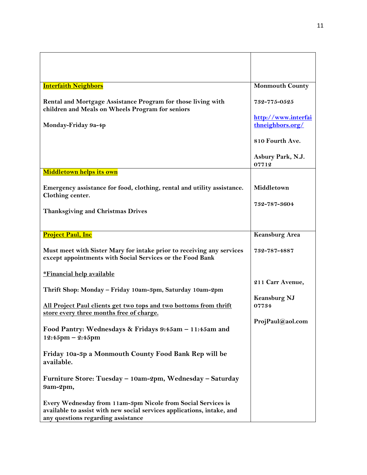| <b>Interfaith Neighbors</b>                                                                                                                                                  | <b>Monmouth County</b>                  |
|------------------------------------------------------------------------------------------------------------------------------------------------------------------------------|-----------------------------------------|
| Rental and Mortgage Assistance Program for those living with<br>children and Meals on Wheels Program for seniors                                                             | 732-775-0525                            |
| Monday-Friday 9a-4p                                                                                                                                                          | http://www.interfai<br>thneighbors.org/ |
|                                                                                                                                                                              | 810 Fourth Ave.                         |
|                                                                                                                                                                              | Asbury Park, N.J.<br>07712              |
| Middletown helps its own                                                                                                                                                     |                                         |
| Emergency assistance for food, clothing, rental and utility assistance.<br>Clothing center.                                                                                  | Middletown                              |
| <b>Thanksgiving and Christmas Drives</b>                                                                                                                                     | 732-787-3604                            |
|                                                                                                                                                                              |                                         |
| <b>Project Paul, Inc</b>                                                                                                                                                     | <b>Keansburg Area</b>                   |
| Must meet with Sister Mary for intake prior to receiving any services<br>except appointments with Social Services or the Food Bank                                           | 732-787-4887                            |
| <u>*Financial help available</u>                                                                                                                                             |                                         |
| Thrift Shop: Monday - Friday 10am-3pm, Saturday 10am-2pm                                                                                                                     | 211 Carr Avenue,                        |
| All Project Paul clients get two tops and two bottoms from thrift<br>store every three months free of charge.                                                                | <b>Keansburg NJ</b><br>07734            |
| Food Pantry: Wednesdays & Fridays 9:45am - 11:45am and                                                                                                                       | ProjPaul@aol.com                        |
| $12:45$ pm - 2:45pm                                                                                                                                                          |                                         |
| Friday 10a-3p a Monmouth County Food Bank Rep will be<br>available.                                                                                                          |                                         |
| Furniture Store: Tuesday - 10am-2pm, Wednesday - Saturday<br>9am-2pm,                                                                                                        |                                         |
| Every Wednesday from 11am-3pm Nicole from Social Services is<br>available to assist with new social services applications, intake, and<br>any questions regarding assistance |                                         |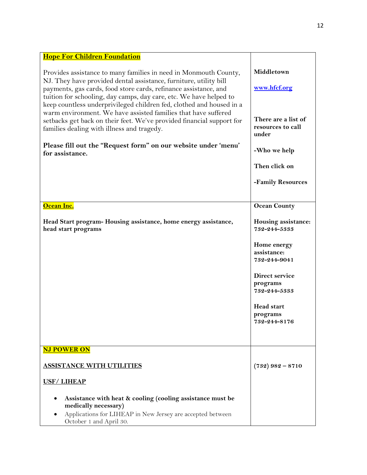| <b>Hope For Children Foundation</b>                                                                                                                                                                                                                                                                                                                     |                                                   |
|---------------------------------------------------------------------------------------------------------------------------------------------------------------------------------------------------------------------------------------------------------------------------------------------------------------------------------------------------------|---------------------------------------------------|
| Provides assistance to many families in need in Monmouth County,<br>NJ. They have provided dental assistance, furniture, utility bill<br>payments, gas cards, food store cards, refinance assistance, and<br>tuition for schooling, day camps, day care, etc. We have helped to<br>keep countless underprivileged children fed, clothed and housed in a | Middletown<br>www.hfcf.org                        |
| warm environment. We have assisted families that have suffered<br>setbacks get back on their feet. We've provided financial support for<br>families dealing with illness and tragedy.                                                                                                                                                                   | There are a list of<br>resources to call<br>under |
| Please fill out the "Request form" on our website under 'menu'<br>for assistance.                                                                                                                                                                                                                                                                       | -Who we help                                      |
|                                                                                                                                                                                                                                                                                                                                                         | Then click on                                     |
|                                                                                                                                                                                                                                                                                                                                                         | -Family Resources                                 |
| Ocean Inc.                                                                                                                                                                                                                                                                                                                                              | <b>Ocean County</b>                               |
| Head Start program-Housing assistance, home energy assistance,<br>head start programs                                                                                                                                                                                                                                                                   | Housing assistance:<br>732-244-5333               |
|                                                                                                                                                                                                                                                                                                                                                         | Home energy<br>assistance:<br>732-244-9041        |
|                                                                                                                                                                                                                                                                                                                                                         | Direct service<br>programs<br>732-244-5333        |
|                                                                                                                                                                                                                                                                                                                                                         | <b>Head start</b><br>programs<br>732-244-8176     |
| <b>NJ POWER ON</b>                                                                                                                                                                                                                                                                                                                                      |                                                   |
| <b>ASSISTANCE WITH UTILITIES</b>                                                                                                                                                                                                                                                                                                                        | $(732)$ 982 - 8710                                |
| <b>USF/LIHEAP</b>                                                                                                                                                                                                                                                                                                                                       |                                                   |
| Assistance with heat & cooling (cooling assistance must be<br>medically necessary)<br>Applications for LIHEAP in New Jersey are accepted between<br>October 1 and April 30.                                                                                                                                                                             |                                                   |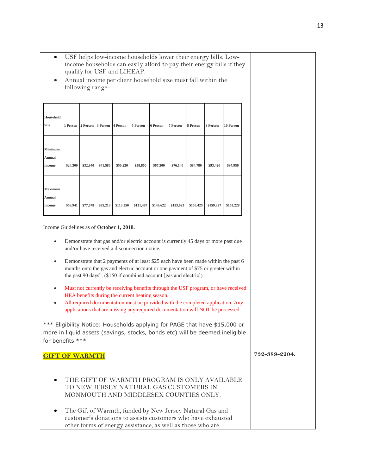|                                                                                                                                                                                                                                                                                                                               |                                                                                                                                                                                                                                              |                            |          |           | income households can easily afford to pay their energy bills if they                                                           |           |           |                                                            |           |           |  |               |  |
|-------------------------------------------------------------------------------------------------------------------------------------------------------------------------------------------------------------------------------------------------------------------------------------------------------------------------------|----------------------------------------------------------------------------------------------------------------------------------------------------------------------------------------------------------------------------------------------|----------------------------|----------|-----------|---------------------------------------------------------------------------------------------------------------------------------|-----------|-----------|------------------------------------------------------------|-----------|-----------|--|---------------|--|
| $\bullet$                                                                                                                                                                                                                                                                                                                     | qualify for USF and LIHEAP.<br>Annual income per client household size must fall within the<br>following range:                                                                                                                              |                            |          |           |                                                                                                                                 |           |           |                                                            |           |           |  |               |  |
|                                                                                                                                                                                                                                                                                                                               |                                                                                                                                                                                                                                              |                            |          |           |                                                                                                                                 |           |           |                                                            |           |           |  |               |  |
| Household<br>Size                                                                                                                                                                                                                                                                                                             | 1 Person                                                                                                                                                                                                                                     | 2 Person 3 Person 4 Person |          |           | 5 Person                                                                                                                        | 6 Person  | 7 Person  | 8 Person                                                   | 9 Person  | 10 Person |  |               |  |
| Minimum<br>Annual<br><b>Income</b>                                                                                                                                                                                                                                                                                            | \$24,300                                                                                                                                                                                                                                     | \$32,940                   | \$41,580 | \$50,220  | \$58,860                                                                                                                        | \$67,500  | \$76,140  | \$84,780                                                   | \$93,420  | \$97,956  |  |               |  |
| Maximum<br>Annual<br><b>Income</b>                                                                                                                                                                                                                                                                                            | \$58,941                                                                                                                                                                                                                                     | \$77,078                   | \$95,213 | \$113,350 | \$131,487                                                                                                                       | \$149,622 | \$153,023 | \$156,425                                                  | \$159,827 | \$163,228 |  |               |  |
| Income Guidelines as of October 1, 2018.                                                                                                                                                                                                                                                                                      |                                                                                                                                                                                                                                              |                            |          |           |                                                                                                                                 |           |           |                                                            |           |           |  |               |  |
| Demonstrate that gas and/or electric account is currently 45 days or more past due<br>and/or have received a disconnection notice.                                                                                                                                                                                            |                                                                                                                                                                                                                                              |                            |          |           |                                                                                                                                 |           |           |                                                            |           |           |  |               |  |
| $\bullet$                                                                                                                                                                                                                                                                                                                     | Demonstrate that 2 payments of at least \$25 each have been made within the past 6<br>months onto the gas and electric account or one payment of \$75 or greater within<br>the past 90 days". (\$150 if combined account [gas and electric]) |                            |          |           |                                                                                                                                 |           |           |                                                            |           |           |  |               |  |
| Must not currently be receiving benefits through the USF program, or have received<br>٠<br>HEA benefits during the current heating season.<br>All required documentation must be provided with the completed application. Any<br>$\bullet$<br>applications that are missing any required documentation will NOT be processed. |                                                                                                                                                                                                                                              |                            |          |           |                                                                                                                                 |           |           |                                                            |           |           |  |               |  |
| *** Eligibility Notice: Households applying for PAGE that have \$15,000 or<br>more in liquid assets (savings, stocks, bonds etc) will be deemed ineligible<br>for benefits ***                                                                                                                                                |                                                                                                                                                                                                                                              |                            |          |           |                                                                                                                                 |           |           |                                                            |           |           |  |               |  |
| <b>GIFT OF WARMTH</b>                                                                                                                                                                                                                                                                                                         |                                                                                                                                                                                                                                              |                            |          |           |                                                                                                                                 |           |           |                                                            |           |           |  | 732-389-2204. |  |
|                                                                                                                                                                                                                                                                                                                               |                                                                                                                                                                                                                                              |                            |          |           | THE GIFT OF WARMTH PROGRAM IS ONLY AVAILABLE<br>TO NEW JERSEY NATURAL GAS CUSTOMERS IN<br>MONMOUTH AND MIDDLESEX COUNTIES ONLY. |           |           |                                                            |           |           |  |               |  |
|                                                                                                                                                                                                                                                                                                                               |                                                                                                                                                                                                                                              |                            |          |           | The Gift of Warmth, funded by New Jersey Natural Gas and<br>customer's donations to assists customers who have exhausted        |           |           | other forms of energy assistance, as well as those who are |           |           |  |               |  |

USF helps low-income households lower their energy bills. Low-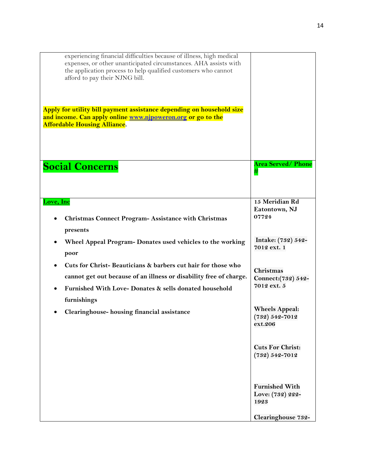| experiencing financial difficulties because of illness, high medical<br>expenses, or other unanticipated circumstances. AHA assists with<br>the application process to help qualified customers who cannot<br>afford to pay their NJNG bill.<br>Apply for utility bill payment assistance depending on household size<br>and income. Can apply online www.njpoweron.org or go to the<br><b>Affordable Housing Alliance.</b> |                                                                         |
|-----------------------------------------------------------------------------------------------------------------------------------------------------------------------------------------------------------------------------------------------------------------------------------------------------------------------------------------------------------------------------------------------------------------------------|-------------------------------------------------------------------------|
| <b>Social Concerns</b>                                                                                                                                                                                                                                                                                                                                                                                                      | <b>Area Served/ Phone</b><br>#                                          |
| Love, Inc<br><b>Christmas Connect Program- Assistance with Christmas</b>                                                                                                                                                                                                                                                                                                                                                    | 15 Meridian Rd<br>Eatontown, NJ<br>07724                                |
| presents<br>Wheel Appeal Program- Donates used vehicles to the working<br>poor                                                                                                                                                                                                                                                                                                                                              | Intake: (732) 542-<br>7012 ext. 1                                       |
| Cuts for Christ-Beauticians & barbers cut hair for those who<br>cannot get out because of an illness or disability free of charge.<br>Furnished With Love- Donates & sells donated household<br>furnishings                                                                                                                                                                                                                 | Christmas<br>Connect: (732) 542-<br>7012 ext. 5                         |
| Clearinghouse-housing financial assistance                                                                                                                                                                                                                                                                                                                                                                                  | <b>Wheels Appeal:</b><br>$(732) 542 - 7012$<br>ext.206                  |
|                                                                                                                                                                                                                                                                                                                                                                                                                             | <b>Cuts For Christ:</b><br>$(732) 542 - 7012$                           |
|                                                                                                                                                                                                                                                                                                                                                                                                                             | <b>Furnished With</b><br>Love: (732) 222-<br>1923<br>Clearinghouse 732- |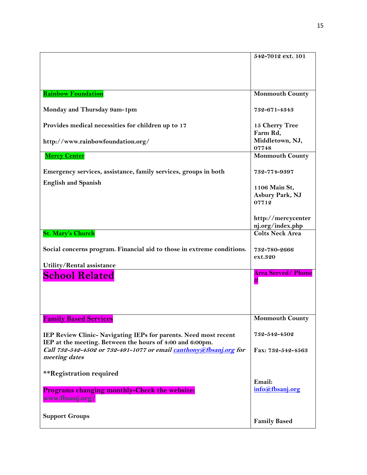|                                                                        | 542-7012 ext. 101         |
|------------------------------------------------------------------------|---------------------------|
|                                                                        |                           |
|                                                                        |                           |
|                                                                        |                           |
| <b>Rainbow Foundation</b>                                              | <b>Monmouth County</b>    |
|                                                                        |                           |
| Monday and Thursday 9am-1pm                                            | 732-671-4343              |
|                                                                        |                           |
| Provides medical necessities for children up to 17                     | 15 Cherry Tree            |
|                                                                        | Farm Rd,                  |
| http://www.rainbowfoundation.org/                                      | Middletown, NJ,           |
|                                                                        | 07748                     |
| <b>Mercy Center</b>                                                    | <b>Monmouth County</b>    |
|                                                                        |                           |
| Emergency services, assistance, family services, groups in both        | 732-774-9397              |
| <b>English and Spanish</b>                                             | 1106 Main St,             |
|                                                                        | Asbury Park, NJ           |
|                                                                        | 07712                     |
|                                                                        |                           |
|                                                                        | http://mercycenter        |
|                                                                        | nj.org/index.php          |
| <b>St. Mary's Church</b>                                               | <b>Colts Neck Area</b>    |
|                                                                        |                           |
| Social concerns program. Financial aid to those in extreme conditions. | 732-780-2666              |
|                                                                        | ext.320                   |
| Utility/Rental assistance                                              |                           |
| <b>School Related</b>                                                  | <b>Area Served/ Phone</b> |
|                                                                        | #                         |
|                                                                        |                           |
|                                                                        |                           |
|                                                                        |                           |
| <b>Family Based Services</b>                                           | <b>Monmouth County</b>    |
|                                                                        |                           |
| IEP Review Clinic- Navigating IEPs for parents. Need most recent       | 732-542-4502              |
| IEP at the meeting. Between the hours of 4:00 and 6:00pm.              |                           |
| Call 732-542-4502 or 732-491-1077 or email canthony@fbsanj.org for     | Fax: 732-542-4563         |
| meeting dates                                                          |                           |
|                                                                        |                           |
| **Registration required                                                |                           |
|                                                                        | Email:                    |
| Programs changing monthly-Check the website:                           | info@fbsanj.org           |
| www.fbsanj.org/                                                        |                           |
|                                                                        |                           |
| <b>Support Groups</b>                                                  |                           |
|                                                                        | <b>Family Based</b>       |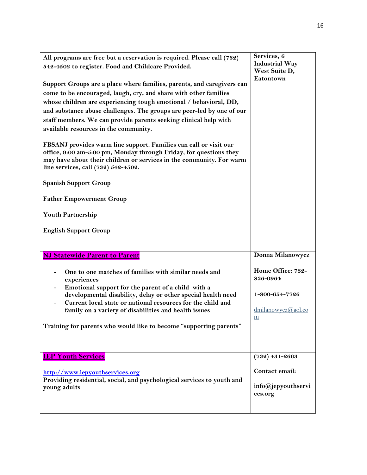| All programs are free but a reservation is required. Please call (732)<br>542-4502 to register. Food and Childcare Provided.<br>Support Groups are a place where families, parents, and caregivers can<br>come to be encouraged, laugh, cry, and share with other families<br>whose children are experiencing tough emotional / behavioral, DD,<br>and substance abuse challenges. The groups are peer-led by one of our<br>staff members. We can provide parents seeking clinical help with<br>available resources in the community.<br>FBSANJ provides warm line support. Families can call or visit our<br>office, 9:00 am-5:00 pm, Monday through Friday, for questions they<br>may have about their children or services in the community. For warm<br>line services, call (732) 542-4502.<br><b>Spanish Support Group</b><br><b>Father Empowerment Group</b><br><b>Youth Partnership</b><br><b>English Support Group</b> | Services, 6<br><b>Industrial Way</b><br>West Suite D,<br>Eatontown                             |
|--------------------------------------------------------------------------------------------------------------------------------------------------------------------------------------------------------------------------------------------------------------------------------------------------------------------------------------------------------------------------------------------------------------------------------------------------------------------------------------------------------------------------------------------------------------------------------------------------------------------------------------------------------------------------------------------------------------------------------------------------------------------------------------------------------------------------------------------------------------------------------------------------------------------------------|------------------------------------------------------------------------------------------------|
| <b>NJ Statewide Parent to Parent</b><br>One to one matches of families with similar needs and<br>experiences<br>Emotional support for the parent of a child with a<br>developmental disability, delay or other special health need<br>Current local state or national resources for the child and<br>family on a variety of disabilities and health issues<br>Training for parents who would like to become "supporting parents"                                                                                                                                                                                                                                                                                                                                                                                                                                                                                               | Donna Milanowycz<br>Home Office: 732-<br>836-0964<br>1-800-654-7726<br>dmilanowycz@aol.co<br>m |
| <b>IEP Youth Services</b><br>http://www.iepyouthservices.org<br>Providing residential, social, and psychological services to youth and<br>young adults                                                                                                                                                                                                                                                                                                                                                                                                                                                                                                                                                                                                                                                                                                                                                                         | $(732)$ 431-2663<br>Contact email:<br>info@jepyouthservi<br>ces.org                            |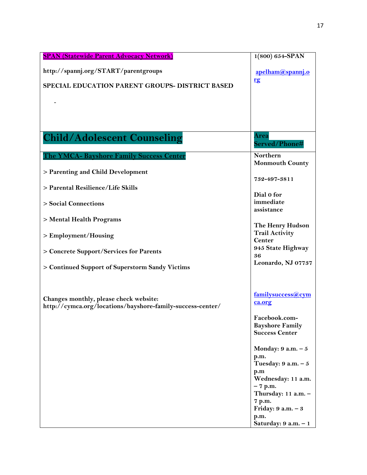| <b>SPAN (Statewide Parent Advocacy Network)</b>                                                      | $1(800) 654 - SPAN$                    |
|------------------------------------------------------------------------------------------------------|----------------------------------------|
| http://spannj.org/START/parentgroups                                                                 | apelham@spannj.o                       |
| SPECIAL EDUCATION PARENT GROUPS- DISTRICT BASED                                                      | rg                                     |
|                                                                                                      |                                        |
|                                                                                                      |                                        |
|                                                                                                      |                                        |
| <b>Child/Adolescent Counseling</b>                                                                   | Area<br>Served/Phone#                  |
| The YMCA- Bayshore Family Success Center                                                             | Northern                               |
| > Parenting and Child Development                                                                    | <b>Monmouth County</b>                 |
|                                                                                                      | 732-497-3811                           |
| > Parental Resilience/Life Skills                                                                    | Dial 0 for                             |
| > Social Connections                                                                                 | immediate                              |
|                                                                                                      | assistance                             |
| > Mental Health Programs                                                                             | The Henry Hudson                       |
| > Employment/Housing                                                                                 | <b>Trail Activity</b><br><b>Center</b> |
| > Concrete Support/Services for Parents                                                              | 945 State Highway                      |
|                                                                                                      | 36                                     |
| > Continued Support of Superstorm Sandy Victims                                                      | Leonardo, NJ 07737                     |
|                                                                                                      |                                        |
|                                                                                                      | familysuccess@cym                      |
| Changes monthly, please check website:<br>http://cymca.org/locations/bayshore-family-success-center/ | ca.org                                 |
|                                                                                                      | Facebook.com-                          |
|                                                                                                      | <b>Bayshore Family</b>                 |
|                                                                                                      | <b>Success Center</b>                  |
|                                                                                                      | Monday: $9 a.m. - 5$                   |
|                                                                                                      | p.m.<br>Tuesday: $9 a.m. - 5$          |
|                                                                                                      | p.m                                    |
|                                                                                                      | Wednesday: 11 a.m.<br>$-7$ p.m.        |
|                                                                                                      | Thursday: 11 a.m. -                    |
|                                                                                                      | 7 p.m.<br>Friday: $9 a.m. - 3$         |
|                                                                                                      | p.m.                                   |
|                                                                                                      | Saturday: 9 a.m. - 1                   |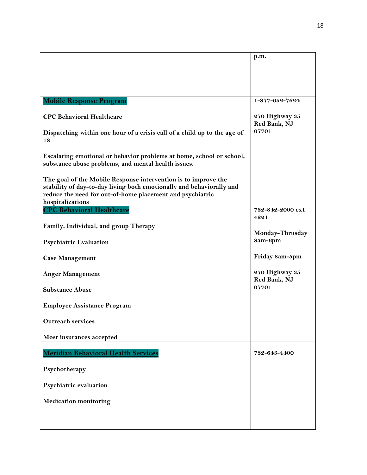|                                                                                                                                                                                                     | p.m.                           |
|-----------------------------------------------------------------------------------------------------------------------------------------------------------------------------------------------------|--------------------------------|
|                                                                                                                                                                                                     |                                |
|                                                                                                                                                                                                     |                                |
| <b>Mobile Response Program</b>                                                                                                                                                                      | $1 - 877 - 652 - 7624$         |
| <b>CPC Behavioral Healthcare</b>                                                                                                                                                                    | 270 Highway 35<br>Red Bank, NJ |
| Dispatching within one hour of a crisis call of a child up to the age of<br>18                                                                                                                      | 07701                          |
| Escalating emotional or behavior problems at home, school or school,<br>substance abuse problems, and mental health issues.                                                                         |                                |
| The goal of the Mobile Response intervention is to improve the<br>stability of day-to-day living both emotionally and behaviorally and<br>reduce the need for out-of-home placement and psychiatric |                                |
| hospitalizations<br><b>CPC Behavioral Healthcare</b>                                                                                                                                                | 732-842-2000 ext               |
|                                                                                                                                                                                                     | 4221                           |
| Family, Individual, and group Therapy                                                                                                                                                               | Monday-Thrusday                |
| <b>Psychiatric Evaluation</b>                                                                                                                                                                       | 8am-6pm                        |
| <b>Case Management</b>                                                                                                                                                                              | Friday 8am-5pm                 |
| <b>Anger Management</b>                                                                                                                                                                             | 270 Highway 35<br>Red Bank, NJ |
| <b>Substance Abuse</b>                                                                                                                                                                              | 07701                          |
| <b>Employee Assistance Program</b>                                                                                                                                                                  |                                |
| <b>Outreach services</b>                                                                                                                                                                            |                                |
| Most insurances accepted                                                                                                                                                                            |                                |
| Meridian Behavioral Health Services                                                                                                                                                                 | 732-643-4400                   |
| Psychotherapy                                                                                                                                                                                       |                                |
| Psychiatric evaluation                                                                                                                                                                              |                                |
| <b>Medication monitoring</b>                                                                                                                                                                        |                                |
|                                                                                                                                                                                                     |                                |
|                                                                                                                                                                                                     |                                |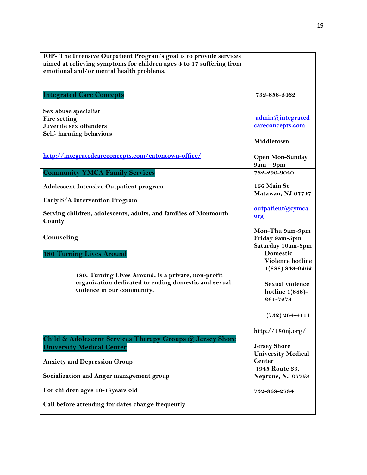| IOP- The Intensive Outpatient Program's goal is to provide services                                         |                                |
|-------------------------------------------------------------------------------------------------------------|--------------------------------|
| aimed at relieving symptoms for children ages 4 to 17 suffering from                                        |                                |
| emotional and/or mental health problems.                                                                    |                                |
|                                                                                                             |                                |
|                                                                                                             |                                |
| <b>Integrated Care Concepts</b>                                                                             | 732-858-5432                   |
|                                                                                                             |                                |
| Sex abuse specialist                                                                                        |                                |
| <b>Fire setting</b>                                                                                         | admin@integrated               |
| Juvenile sex offenders                                                                                      | careconcepts.com               |
| Self-harming behaviors                                                                                      |                                |
|                                                                                                             | Middletown                     |
| http://integratedcareconcepts.com/eatontown-office/                                                         |                                |
|                                                                                                             | <b>Open Mon-Sunday</b>         |
|                                                                                                             | $9am - 9pm$                    |
| <b>Community YMCA Family Services</b>                                                                       | 732-290-9040                   |
| <b>Adolescent Intensive Outpatient program</b>                                                              | 166 Main St                    |
|                                                                                                             | Matawan, NJ 07747              |
| <b>Early S/A Intervention Program</b>                                                                       |                                |
|                                                                                                             | outpatient@cymca.              |
| Serving children, adolescents, adults, and families of Monmouth                                             | org                            |
| County                                                                                                      |                                |
|                                                                                                             | Mon-Thu 9am-9pm                |
| Counseling                                                                                                  | Friday 9am-5pm                 |
|                                                                                                             | Saturday 10am-3pm              |
| <b>180 Turning Lives Around</b>                                                                             | Domestic                       |
|                                                                                                             | Violence hotline               |
|                                                                                                             | 1(888) 843-9262                |
| 180, Turning Lives Around, is a private, non-profit<br>organization dedicated to ending domestic and sexual |                                |
| violence in our community.                                                                                  | Sexual violence                |
|                                                                                                             | hotline $1(888)$ -<br>264-7273 |
|                                                                                                             |                                |
|                                                                                                             |                                |
|                                                                                                             | $(732)$ 264-4111               |
|                                                                                                             | http://180nj.org/              |
| Child & Adolescent Services Therapy Groups @ Jersey Shore                                                   |                                |
| <b>University Medical Center</b>                                                                            | <b>Jersey Shore</b>            |
|                                                                                                             | <b>University Medical</b>      |
| <b>Anxiety and Depression Group</b>                                                                         | <b>Center</b>                  |
|                                                                                                             | 1945 Route 33,                 |
| Socialization and Anger management group                                                                    | Neptune, NJ 07753              |
|                                                                                                             |                                |
| For children ages 10-18years old                                                                            | 732-869-2784                   |
|                                                                                                             |                                |
| Call before attending for dates change frequently                                                           |                                |
|                                                                                                             |                                |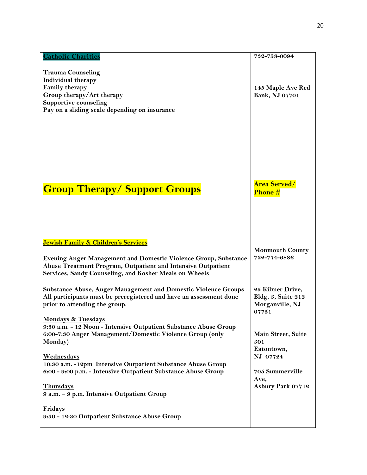| <b>Catholic Charities</b>                                                                                                                                                             | 732-758-0094                                                       |
|---------------------------------------------------------------------------------------------------------------------------------------------------------------------------------------|--------------------------------------------------------------------|
| <b>Trauma Counseling</b><br>Individual therapy<br><b>Family therapy</b><br>Group therapy/Art therapy<br><b>Supportive counseling</b><br>Pay on a sliding scale depending on insurance | 145 Maple Ave Red<br>Bank, NJ 07701                                |
| <b>Group Therapy/Support Groups</b>                                                                                                                                                   | <b>Area Served/</b><br>Phone #                                     |
| <b>Jewish Family &amp; Children's Services</b><br><b>Evening Anger Management and Domestic Violence Group, Substance</b>                                                              | <b>Monmouth County</b><br>732-774-6886                             |
| Abuse Treatment Program, Outpatient and Intensive Outpatient<br>Services, Sandy Counseling, and Kosher Meals on Wheels                                                                |                                                                    |
| <b>Substance Abuse, Anger Management and Domestic Violence Groups</b><br>All participants must be preregistered and have an assessment done<br>prior to attending the group.          | 25 Kilmer Drive,<br>Bldg. 3, Suite 212<br>Morganville, NJ<br>07751 |
| <b>Mondays &amp; Tuesdays</b><br>9:30 a.m. - 12 Noon - Intensive Outpatient Substance Abuse Group<br>6:00-7:30 Anger Management/Domestic Violence Group (only<br>Monday)              | Main Street, Suite<br>301                                          |
| <b>Wednesdays</b><br>10:30 a.m. -12pm Intensive Outpatient Substance Abuse Group                                                                                                      | Eatontown,<br>NJ 07724                                             |
| 6:00 - 9:00 p.m. - Intensive Outpatient Substance Abuse Group                                                                                                                         | 705 Summerville<br>Ave,<br>Asbury Park 07712                       |
| <b>Thursdays</b><br>9 a.m. - 9 p.m. Intensive Outpatient Group                                                                                                                        |                                                                    |
| <b>Fridays</b><br>9:30 - 12:30 Outpatient Substance Abuse Group                                                                                                                       |                                                                    |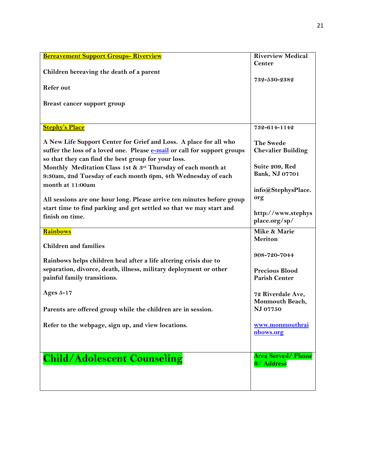| <b>Bereavement Support Groups- Riverview</b>                             | <b>Riverview Medical</b>    |
|--------------------------------------------------------------------------|-----------------------------|
|                                                                          | <b>Center</b>               |
| Children bereaving the death of a parent                                 |                             |
|                                                                          | 732-530-2382                |
| <b>Refer out</b>                                                         |                             |
|                                                                          |                             |
| Breast cancer support group                                              |                             |
|                                                                          |                             |
|                                                                          |                             |
| <b>Stephy's Place</b>                                                    | 732-614-1142                |
| A New Life Support Center for Grief and Loss. A place for all who        | <b>The Swede</b>            |
| suffer the loss of a loved one. Please e-mail or call for support groups | <b>Chevalier Building</b>   |
| so that they can find the best group for your loss.                      |                             |
| Monthly Meditation Class 1st & 3rd Thursday of each month at             | Suite 209, Red              |
| 9:30am, 2nd Tuesday of each month 6pm, 4th Wednesday of each             | Bank, NJ 07701              |
| month at 11:00am                                                         |                             |
|                                                                          | info@StephysPlace.          |
| All sessions are one hour long. Please arrive ten minutes before group   | org                         |
| start time to find parking and get settled so that we may start and      |                             |
| finish on time.                                                          | http://www.stephys          |
|                                                                          | place.org/sp/               |
| <b>Rainbows</b>                                                          | Mike & Marie                |
|                                                                          | Meriton                     |
| <b>Children and families</b>                                             |                             |
|                                                                          | 908-720-7044                |
| Rainbows helps children heal after a life altering crisis due to         |                             |
| separation, divorce, death, illness, military deployment or other        | <b>Precious Blood</b>       |
| painful family transitions.                                              | <b>Parish Center</b>        |
|                                                                          |                             |
| <b>Ages 5-17</b>                                                         | 72 Riverdale Ave,           |
|                                                                          | Monmouth Beach,<br>NJ 07750 |
| Parents are offered group while the children are in session.             |                             |
| Refer to the webpage, sign up, and view locations.                       | www.monmouthrai             |
|                                                                          | nbows.org                   |
|                                                                          |                             |
|                                                                          |                             |
| <b>Child/Adolescent Counseling</b>                                       | <b>Area Served/ Phone</b>   |
|                                                                          | #/ Address                  |
|                                                                          |                             |
|                                                                          |                             |
|                                                                          |                             |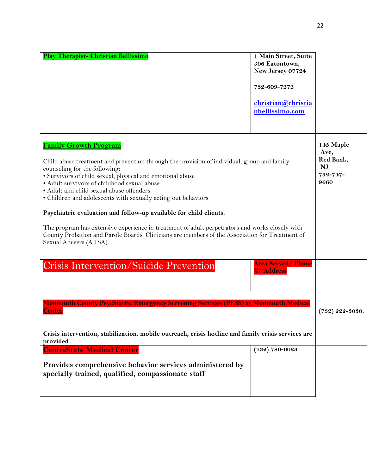| <b>Play Therapist- Christian Bellissimo</b>                                                                                                                                                                                                                                                                                                                                                                                                                                                                                                                                                                                                                                             | 1 Main Street, Suite<br>306 Eatontown,<br>New Jersey 07724<br>732-609-7272<br>christian@christia<br>nbellissimo.com |                                                                 |
|-----------------------------------------------------------------------------------------------------------------------------------------------------------------------------------------------------------------------------------------------------------------------------------------------------------------------------------------------------------------------------------------------------------------------------------------------------------------------------------------------------------------------------------------------------------------------------------------------------------------------------------------------------------------------------------------|---------------------------------------------------------------------------------------------------------------------|-----------------------------------------------------------------|
| <b>Family Growth Program</b><br>Child abuse treatment and prevention through the provision of individual, group and family<br>counseling for the following:<br>· Survivors of child sexual, physical and emotional abuse<br>• Adult survivors of childhood sexual abuse<br>• Adult and child sexual abuse offenders<br>• Children and adolescents with sexually acting out behaviors<br>Psychiatric evaluation and follow-up available for child clients.<br>The program has extensive experience in treatment of adult perpetrators and works closely with<br>County Probation and Parole Boards. Clinicians are members of the Association for Treatment of<br>Sexual Abusers (ATSA). |                                                                                                                     | 145 Maple<br>Ave,<br>Red Bank,<br><b>NJ</b><br>732-747-<br>9660 |
| <b>Crisis Intervention/Suicide Prevention</b>                                                                                                                                                                                                                                                                                                                                                                                                                                                                                                                                                                                                                                           | <b>Area Served/Phone</b><br><b>#/ Address</b>                                                                       |                                                                 |
| <b>Monmouth County Psychiatric Emergency Screening Services (PESS) at Monmouth Medical</b><br><u>Center</u><br>Crisis intervention, stabilization, mobile outreach, crisis hotline and family crisis services are<br>provided                                                                                                                                                                                                                                                                                                                                                                                                                                                           |                                                                                                                     | $(732)$ 222-3030.                                               |
| <b>CentraState Medical Center</b>                                                                                                                                                                                                                                                                                                                                                                                                                                                                                                                                                                                                                                                       | $(732) 780 - 6023$                                                                                                  |                                                                 |
| Provides comprehensive behavior services administered by<br>specially trained, qualified, compassionate staff                                                                                                                                                                                                                                                                                                                                                                                                                                                                                                                                                                           |                                                                                                                     |                                                                 |

22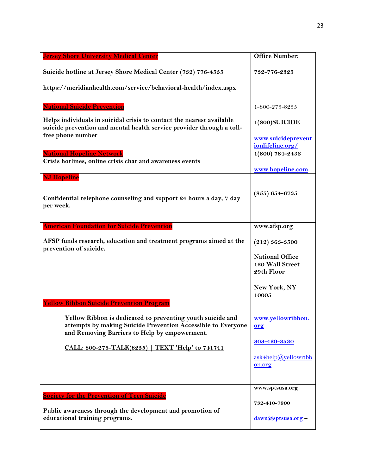| <b>Jersey Shore University Medical Center</b>                                                                                                                               | <b>Office Number:</b>                                   |
|-----------------------------------------------------------------------------------------------------------------------------------------------------------------------------|---------------------------------------------------------|
| Suicide hotline at Jersey Shore Medical Center (732) 776-4555                                                                                                               | 732-776-2325                                            |
| https://meridianhealth.com/service/behavioral-health/index.aspx                                                                                                             |                                                         |
| <b>National Suicide Prevention</b>                                                                                                                                          | $1 - 800 - 273 - 8255$                                  |
| Helps individuals in suicidal crisis to contact the nearest available<br>suicide prevention and mental health service provider through a toll-                              | $1(800)$ SUICIDE                                        |
| free phone number                                                                                                                                                           | www.suicideprevent<br>ionlifeline.org/                  |
| <b>National Hopeline Network</b><br>Crisis hotlines, online crisis chat and awareness events                                                                                | $1(800) 784 - 2433$                                     |
| <b>NJ Hopeline</b>                                                                                                                                                          | www.hopeline.com                                        |
| Confidential telephone counseling and support 24 hours a day, 7 day<br>per week.                                                                                            | $(855) 654 - 6735$                                      |
| <u> American Foundation for Suicide Prevention</u>                                                                                                                          | www.afsp.org                                            |
| AFSP funds research, education and treatment programs aimed at the                                                                                                          | $(212) 363 - 3500$                                      |
| prevention of suicide.                                                                                                                                                      | <b>National Office</b><br>120 Wall Street<br>29th Floor |
|                                                                                                                                                                             | New York, NY<br>10005                                   |
| <b>Yellow Ribbon Suicide Prevention Program</b>                                                                                                                             |                                                         |
| Yellow Ribbon is dedicated to preventing youth suicide and<br>attempts by making Suicide Prevention Accessible to Everyone<br>and Removing Barriers to Help by empowerment. | www.yellowribbon.<br>org                                |
| CALL: 800-273-TALK(8255)   TEXT 'Help' to 741741                                                                                                                            | <u>303-429-3530</u>                                     |
|                                                                                                                                                                             | ask4help@yellowribb<br>on.org                           |
|                                                                                                                                                                             | www.sptsusa.org                                         |
| <b><u>Society for the Prevention of Teen Suicide</u></b>                                                                                                                    | 732-410-7900                                            |
| Public awareness through the development and promotion of<br>educational training programs.                                                                                 | dawn@sptsusa.org-                                       |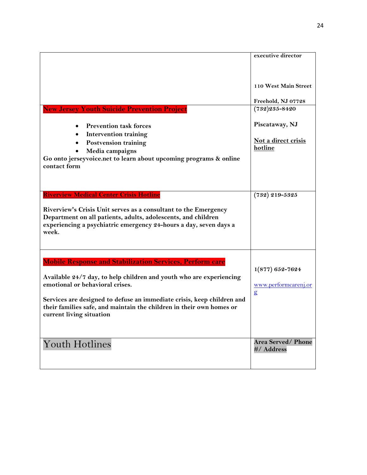|                                                                                                                                                                                                                | executive director                               |
|----------------------------------------------------------------------------------------------------------------------------------------------------------------------------------------------------------------|--------------------------------------------------|
|                                                                                                                                                                                                                | 110 West Main Street                             |
|                                                                                                                                                                                                                | Freehold, NJ 07728                               |
| <u>New Jersey Youth Suicide Prevention Project</u>                                                                                                                                                             | $(732)$ 235-8420                                 |
| <b>Prevention task forces</b><br><b>Intervention training</b><br><b>Postvension training</b><br>$\bullet$<br>Media campaigns                                                                                   | Piscataway, NJ<br>Not a direct crisis<br>hotline |
| Go onto jerseyvoice.net to learn about upcoming programs & online<br>contact form                                                                                                                              |                                                  |
| <b>Riverview Medical Center Crisis Hotline</b>                                                                                                                                                                 | $(732)$ 219-5325                                 |
| Riverview's Crisis Unit serves as a consultant to the Emergency<br>Department on all patients, adults, adolescents, and children<br>experiencing a psychiatric emergency 24-hours a day, seven days a<br>week. |                                                  |
| <u> Mobile Response and Stabilization Services, Perform care</u>                                                                                                                                               |                                                  |
|                                                                                                                                                                                                                | $1(877) 652 - 7624$                              |
| Available 24/7 day, to help children and youth who are experiencing<br>emotional or behavioral crises.                                                                                                         | www.performcarenj.or                             |
| Services are designed to defuse an immediate crisis, keep children and<br>their families safe, and maintain the children in their own homes or<br>current living situation                                     | $\mathbf{g}$                                     |
| <b>Youth Hotlines</b>                                                                                                                                                                                          | <b>Area Served/Phone</b><br>#/ Address           |
|                                                                                                                                                                                                                |                                                  |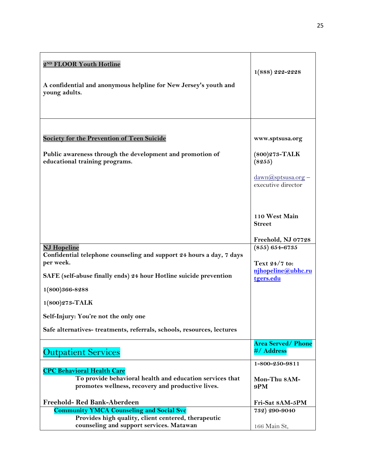| 2ND FLOOR Youth Hotline<br>A confidential and anonymous helpline for New Jersey's youth and<br>young adults.                                                                     | $1(888) 222 - 2228$                                                                      |
|----------------------------------------------------------------------------------------------------------------------------------------------------------------------------------|------------------------------------------------------------------------------------------|
| <b>Society for the Prevention of Teen Suicide</b><br>Public awareness through the development and promotion of<br>educational training programs.                                 | www.sptsusa.org<br>$(800)$ 273-TALK<br>(8255)<br>dawn@sptsusa.org-<br>executive director |
| <b>NJ Hopeline</b>                                                                                                                                                               | 110 West Main<br><b>Street</b><br>Freehold, NJ 07728<br>$(855) 654 - 6735$               |
| Confidential telephone counseling and support 24 hours a day, 7 days<br>per week.<br>SAFE (self-abuse finally ends) 24 hour Hotline suicide prevention<br>1(800)366-8288         | Text 24/7 to:<br>njhopeline@ubhc.ru<br>tgers.edu                                         |
| $1(800)273$ -TALK<br>Self-Injury: You're not the only one<br>Safe alternatives-treatments, referrals, schools, resources, lectures                                               |                                                                                          |
| <b>Outpatient Services</b>                                                                                                                                                       | <b>Area Served/ Phone</b><br>#/ Address                                                  |
| <b>CPC Behavioral Health Care</b><br>To provide behavioral health and education services that<br>promotes wellness, recovery and productive lives.<br>Freehold-Red Bank-Aberdeen | 1-800-250-9811<br>Mon-Thu 8AM-<br>9PM<br>Fri-Sat 8AM-5PM                                 |
| <b>Community YMCA Counseling and Social Svc</b>                                                                                                                                  | 732) 290-9040                                                                            |
| Provides high quality, client centered, therapeutic<br>counseling and support services. Matawan                                                                                  | 166 Main St,                                                                             |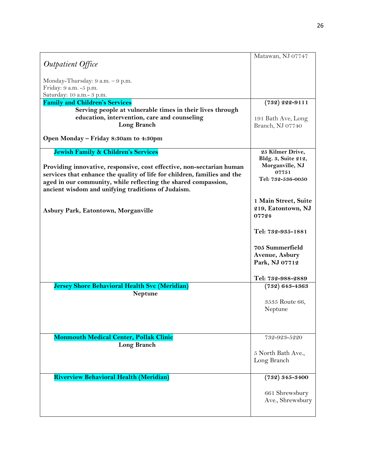|                                                                          | Matawan, NJ 07747    |
|--------------------------------------------------------------------------|----------------------|
| Outpatient Office                                                        |                      |
| Monday-Thursday: 9 a.m. - 9 p.m.                                         |                      |
| Friday: 9 a.m. -5 p.m.                                                   |                      |
| Saturday: 10 a.m.- 3 p.m.                                                |                      |
| <b>Family and Children's Services</b>                                    | $(732) 222 - 9111$   |
|                                                                          |                      |
| Serving people at vulnerable times in their lives through                |                      |
| education, intervention, care and counseling                             | 191 Bath Ave, Long   |
| <b>Long Branch</b>                                                       | Branch, NJ 07740     |
| Open Monday - Friday 8:30am to 4:30pm                                    |                      |
| Jewish Family & Children's Services                                      | 25 Kilmer Drive,     |
|                                                                          | Bldg. 3, Suite 212,  |
| Providing innovative, responsive, cost effective, non-sectarian human    | Morganville, NJ      |
| services that enhance the quality of life for children, families and the | 07751                |
| aged in our community, while reflecting the shared compassion,           | Tel: 732-536-0050    |
| ancient wisdom and unifying traditions of Judaism.                       |                      |
|                                                                          |                      |
|                                                                          | 1 Main Street, Suite |
| Asbury Park, Eatontown, Morganville                                      | 219, Eatontown, NJ   |
|                                                                          | 07724                |
|                                                                          |                      |
|                                                                          | Tel: 732-935-1881    |
|                                                                          |                      |
|                                                                          | 705 Summerfield      |
|                                                                          | Avenue, Asbury       |
|                                                                          | Park, NJ 07712       |
|                                                                          |                      |
|                                                                          | Tel: 732-988-2889    |
| Jersey Shore Behavioral Health Svc (Meridian)                            | $(732)$ 643-4363     |
| <b>Neptune</b>                                                           |                      |
|                                                                          | 3535 Route 66,       |
|                                                                          | Neptune              |
|                                                                          |                      |
|                                                                          |                      |
|                                                                          |                      |
| <b>Monmouth Medical Center, Pollak Clinic</b>                            | 732-923-5220         |
| Long Branch                                                              |                      |
|                                                                          | 5 North Bath Ave.,   |
|                                                                          | Long Branch          |
|                                                                          |                      |
| <b>Riverview Behavioral Health (Meridian)</b>                            | $(732) 345 - 3400$   |
|                                                                          |                      |
|                                                                          | 661 Shrewsbury       |
|                                                                          | Ave., Shrewsbury     |
|                                                                          |                      |
|                                                                          |                      |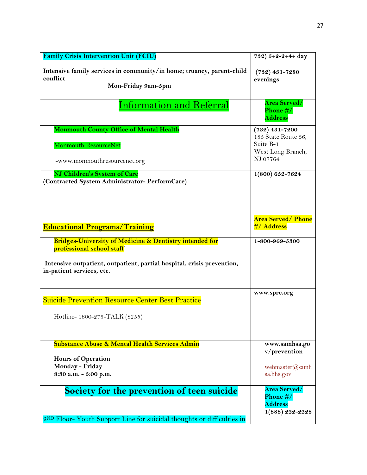| <b>Family Crisis Intervention Unit (FCIU)</b>                                                           | 732) 542-2444 day                                                 |
|---------------------------------------------------------------------------------------------------------|-------------------------------------------------------------------|
| Intensive family services in community/in home; truancy, parent-child<br>conflict<br>Mon-Friday 9am-5pm | $(732)$ 431-7280<br>evenings                                      |
| <b>Information and Referral</b>                                                                         | <b>Area Served/</b><br>Phone #/<br><b>Address</b>                 |
| <b>Monmouth County Office of Mental Health</b>                                                          | $(732)$ 431-7200                                                  |
| Monmouth ResourceNet<br>-www.monmouthresourcenet.org                                                    | 185 State Route 36,<br>Suite B-1<br>West Long Branch,<br>NJ 07764 |
|                                                                                                         |                                                                   |
| NJ Children's System of Care<br>(Contracted System Administrator- PerformCare)                          | 1(800) 652-7624                                                   |
| <b>Educational Programs/Training</b>                                                                    | <b>Area Served/ Phone</b><br>#/ Address                           |
| <b>Bridges-University of Medicine &amp; Dentistry intended for</b><br>professional school staff         | 1-800-969-5300                                                    |
| Intensive outpatient, outpatient, partial hospital, crisis prevention,<br>in-patient services, etc.     |                                                                   |
| <b>Suicide Prevention Resource Center Best Practice</b>                                                 | www.sprc.org                                                      |
| Hotline-1800-273-TALK (8255)                                                                            |                                                                   |
| <b>Substance Abuse &amp; Mental Health Services Admin</b>                                               | www.samhsa.go                                                     |
| <b>Hours of Operation</b>                                                                               | v/prevention                                                      |
| Monday - Friday<br>8:30 a.m. - 5:00 p.m.                                                                | webmaster@samh<br>sa.hhs.gov                                      |
| Society for the prevention of teen suicide                                                              | Area Served/<br>Phone #/<br><b>Address</b>                        |
| 2ND Floor- Youth Support Line for suicidal thoughts or difficulties in                                  | $1(888) 222 - 2228$                                               |
|                                                                                                         |                                                                   |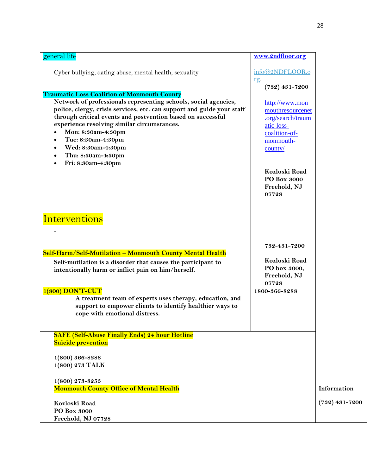| general life                                                                                                                                                                                                                                                                                                                                                                                                                | www.2ndfloor.org                                                                                                                                                                            |                  |
|-----------------------------------------------------------------------------------------------------------------------------------------------------------------------------------------------------------------------------------------------------------------------------------------------------------------------------------------------------------------------------------------------------------------------------|---------------------------------------------------------------------------------------------------------------------------------------------------------------------------------------------|------------------|
| Cyber bullying, dating abuse, mental health, sexuality                                                                                                                                                                                                                                                                                                                                                                      | info@2NDFLOOR.o<br>rg.                                                                                                                                                                      |                  |
| <b>Traumatic Loss Coalition of Monmouth County</b><br>Network of professionals representing schools, social agencies,<br>police, clergy, crisis services, etc. can support and guide your staff<br>through critical events and postvention based on successful<br>experience resolving similar circumstances.<br>Mon: 8:30am-4:30pm<br>Tue: 8:30am-4:30pm<br>Wed: 8:30am-4:30pm<br>Thu: 8:30am-4:30pm<br>Fri: 8:30am-4:30pm | $(732)$ 431-7200<br>http://www.mon<br>mouthresourcenet<br>.org/search/traum<br>atic-loss-<br>coalition-of-<br>monmouth-<br>county/<br>Kozloski Road<br>PO Box 3000<br>Freehold, NJ<br>07728 |                  |
| Interventions<br>Self-Harm/Self-Mutilation - Monmouth County Mental Health<br>Self-mutilation is a disorder that causes the participant to                                                                                                                                                                                                                                                                                  | 732-431-7200<br>Kozloski Road                                                                                                                                                               |                  |
| intentionally harm or inflict pain on him/herself.<br>$1(800)$ DON'T-CUT<br>A treatment team of experts uses therapy, education, and<br>support to empower clients to identify healthier ways to<br>cope with emotional distress.                                                                                                                                                                                           | PO box 3000,<br>Freehold, NJ<br>07728<br>1800-366-8288                                                                                                                                      |                  |
| <b>SAFE (Self-Abuse Finally Ends) 24 hour Hotline</b><br><b>Suicide prevention</b><br>$1(800) 366 - 8288$<br>1(800) 273 TALK                                                                                                                                                                                                                                                                                                |                                                                                                                                                                                             |                  |
| $1(800)$ 273-8255<br><b>Monmouth County Office of Mental Health</b>                                                                                                                                                                                                                                                                                                                                                         |                                                                                                                                                                                             | Information      |
| Kozloski Road<br>PO Box 3000<br>Freehold, NJ 07728                                                                                                                                                                                                                                                                                                                                                                          |                                                                                                                                                                                             | $(732)$ 431-7200 |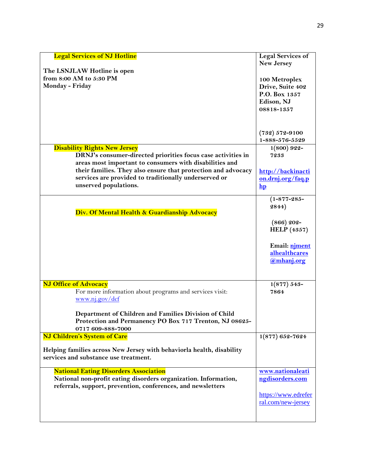| <b>Legal Services of NJ Hotline</b><br>The LSNJLAW Hotline is open<br>from 8:00 AM to 5:30 PM<br>Monday - Friday                                                                                                                                                                                                  | <b>Legal Services of</b><br><b>New Jersey</b><br>100 Metroplex<br>Drive, Suite 402<br>P.O. Box 1357<br>Edison, NJ<br>08818-1357 |
|-------------------------------------------------------------------------------------------------------------------------------------------------------------------------------------------------------------------------------------------------------------------------------------------------------------------|---------------------------------------------------------------------------------------------------------------------------------|
|                                                                                                                                                                                                                                                                                                                   | $(732) 572 - 9100$<br>1-888-576-5529                                                                                            |
| <b>Disability Rights New Jersey</b><br>DRNJ's consumer-directed priorities focus case activities in<br>areas most important to consumers with disabilities and<br>their families. They also ensure that protection and advocacy<br>services are provided to traditionally underserved or<br>unserved populations. | $1(800) 922 -$<br>7233<br>http://backinacti<br>on.drnj.org/faq.p<br>$\mathbf{hp}$                                               |
| Div. Of Mental Health & Guardianship Advocacy                                                                                                                                                                                                                                                                     | $(1 - 877 - 285 -$<br>2844)<br>$(866)$ 202-<br><b>HELP</b> (4357)<br>Email: niment<br>alhealthcares<br>@mhanj.org               |
| <b>NJ Office of Advocacy</b><br>For more information about programs and services visit:<br>www.nj.gov/dcf<br>Department of Children and Families Division of Child<br>Protection and Permanency PO Box 717 Trenton, NJ 08625-<br>0717 609-888-7000                                                                | $1(877) 543-$<br>7864                                                                                                           |
| <b>NJ Children's System of Care</b><br>Helping families across New Jersey with behaviorla health, disability<br>services and substance use treatment.                                                                                                                                                             | $1(877) 652 - 7624$                                                                                                             |
| <b>National Eating Disorders Association</b><br>National non-profit eating disorders organization. Information,<br>referrals, support, prevention, conferences, and newsletters                                                                                                                                   | www.nationaleati<br>ngdisorders.com<br>https://www.edrefer<br>ral.com/new-jersey                                                |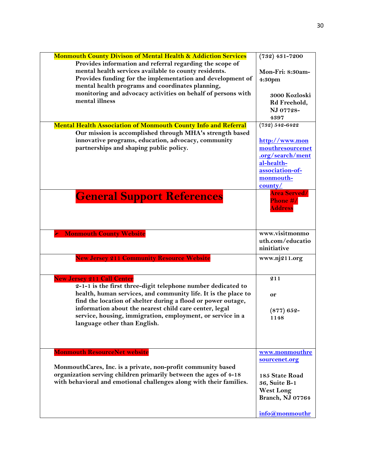| <b>Monmouth County Divison of Mental Health &amp; Addiction Services</b> | $(732)$ 431-7200    |
|--------------------------------------------------------------------------|---------------------|
| Provides information and referral regarding the scope of                 |                     |
| mental health services available to county residents.                    | Mon-Fri: 8:30am-    |
| Provides funding for the implementation and development of               |                     |
| mental health programs and coordinates planning,                         | 4:30pm              |
|                                                                          |                     |
| monitoring and advocacy activities on behalf of persons with             | 3000 Kozloski       |
| mental illness                                                           | Rd Freehold,        |
|                                                                          | NJ 07728-           |
|                                                                          | 4397                |
| <b>Mental Health Association of Monmouth County Info and Referral</b>    | $(732) 542 - 6422$  |
| Our mission is accomplished through MHA's strength based                 |                     |
| innovative programs, education, advocacy, community                      |                     |
|                                                                          | http://www.mon      |
| partnerships and shaping public policy.                                  | mouthresourcenet    |
|                                                                          | .org/search/ment    |
|                                                                          | al-health-          |
|                                                                          | association-of-     |
|                                                                          | monmouth-           |
|                                                                          | county/             |
|                                                                          | <b>Area Served/</b> |
| <b>General Support References</b>                                        | <b>Phone #/</b>     |
|                                                                          |                     |
|                                                                          | <b>Address</b>      |
|                                                                          |                     |
|                                                                          |                     |
| <b>Monmouth County Website</b>                                           | www.visitmonmo      |
|                                                                          | uth.com/educatio    |
|                                                                          | ninitiative         |
|                                                                          |                     |
| <b>New Jersey 211 Community Resource Website</b>                         | www.nj211.org       |
|                                                                          |                     |
|                                                                          |                     |
| <b>New Jersey 211 Call Center</b>                                        | 211                 |
| 2-1-1 is the first three-digit telephone number dedicated to             |                     |
| health, human services, and community life. It is the place to           | or                  |
| find the location of shelter during a flood or power outage,             |                     |
| information about the nearest child care center, legal                   |                     |
| service, housing, immigration, employment, or service in a               | $(877) 652 -$       |
|                                                                          | 1148                |
| language other than English.                                             |                     |
|                                                                          |                     |
|                                                                          |                     |
|                                                                          |                     |
| <b>Monmouth ResourceNet website</b>                                      | www.monmouthre      |
|                                                                          | sourcenet.org       |
| MonmouthCares, Inc. is a private, non-profit community based             |                     |
| organization serving children primarily between the ages of 4-18         | 185 State Road      |
| with behavioral and emotional challenges along with their families.      | 36, Suite B-1       |
|                                                                          | <b>West Long</b>    |
|                                                                          | Branch, NJ 07764    |
|                                                                          |                     |
|                                                                          |                     |
|                                                                          | info@monmouthr      |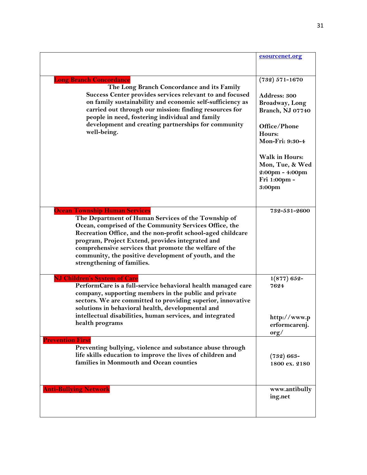|                                                                                                                                                                                                                                                                                                                                                                                                                           | esourcenet.org                                                                                                                                                                                                         |
|---------------------------------------------------------------------------------------------------------------------------------------------------------------------------------------------------------------------------------------------------------------------------------------------------------------------------------------------------------------------------------------------------------------------------|------------------------------------------------------------------------------------------------------------------------------------------------------------------------------------------------------------------------|
| <b>Long Branch Concordance</b><br>The Long Branch Concordance and its Family<br>Success Center provides services relevant to and focused<br>on family sustainability and economic self-sufficiency as<br>carried out through our mission: finding resources for<br>people in need, fostering individual and family<br>development and creating partnerships for community<br>well-being.                                  | $(732) 571 - 1670$<br>Address: 300<br><b>Broadway</b> , Long<br>Branch, NJ 07740<br>Office/Phone<br>Hours:<br>Mon-Fri: 9:30-4<br><b>Walk in Hours:</b><br>Mon, Tue, & Wed<br>2:00pm - 4:00pm<br>Fri 1:00pm -<br>3:00pm |
| <b>Ocean Township Human Services</b><br>The Department of Human Services of the Township of<br>Ocean, comprised of the Community Services Office, the<br>Recreation Office, and the non-profit school-aged childcare<br>program, Project Extend, provides integrated and<br>comprehensive services that promote the welfare of the<br>community, the positive development of youth, and the<br>strengthening of families. | 732-531-2600                                                                                                                                                                                                           |
| <b>NJ Children's System of Care</b><br>PerformCare is a full-service behavioral health managed care<br>company, supporting members in the public and private<br>sectors. We are committed to providing superior, innovative<br>solutions in behavioral health, developmental and<br>intellectual disabilities, human services, and integrated<br>health programs                                                          | $1(877) 652$ -<br>7624<br>http://www.p<br>erformcarenj.<br>$\text{org}/$                                                                                                                                               |
| <b>Prevention First</b><br>Preventing bullying, violence and substance abuse through<br>life skills education to improve the lives of children and<br>families in Monmouth and Ocean counties                                                                                                                                                                                                                             | $(732) 663-$<br>1800 ex. 2180                                                                                                                                                                                          |
| <b>Anti-Bullying Network</b>                                                                                                                                                                                                                                                                                                                                                                                              | www.antibully<br>ing.net                                                                                                                                                                                               |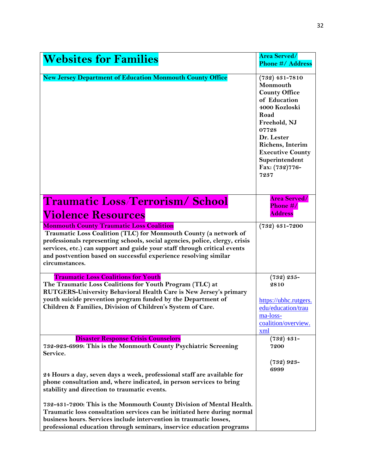| <b>Websites for Families</b>                                                                                                                                                                                                                                                                                                                                         | <b>Area Served/</b><br><b>Phone #/ Address</b>                                                                                                                                                                                          |
|----------------------------------------------------------------------------------------------------------------------------------------------------------------------------------------------------------------------------------------------------------------------------------------------------------------------------------------------------------------------|-----------------------------------------------------------------------------------------------------------------------------------------------------------------------------------------------------------------------------------------|
| <b>New Jersey Department of Education Monmouth County Office</b>                                                                                                                                                                                                                                                                                                     | $(732)$ 431-7810<br>Monmouth<br><b>County Office</b><br>of Education<br>4000 Kozloski<br>Road<br>Freehold, NJ<br>07728<br>Dr. Lester<br><b>Richens</b> , Interim<br><b>Executive County</b><br>Superintendent<br>Fax: (732)776-<br>7237 |
| <b>Traumatic Loss/Terrorism/School</b><br><u>Violence Resources</u>                                                                                                                                                                                                                                                                                                  | <b>Area Served/</b><br>Phone #/<br><b>Address</b>                                                                                                                                                                                       |
| <b>Monmouth County Traumatic Loss Coalition</b><br>Traumatic Loss Coalition (TLC) for Monmouth County (a network of<br>professionals representing schools, social agencies, police, clergy, crisis<br>services, etc.) can support and guide your staff through critical events<br>and postvention based on successful experience resolving similar<br>circumstances. | $(732)$ 431-7200                                                                                                                                                                                                                        |
| <b>Traumatic Loss Coalitions for Youth</b><br>The Traumatic Loss Coalitions for Youth Program (TLC) at<br>RUTGERS-University Behavioral Health Care is New Jersey's primary<br>youth suicide prevention program funded by the Department of<br>Children & Families, Division of Children's System of Care.                                                           | $(732) 235 -$<br>2810<br>https://ubhc.rutgers.<br>edu/education/trau<br>ma-loss-<br>coalition/overview.<br>xml                                                                                                                          |
| <b>Disaster Response Crisis Counselors</b><br>732-923-6999: This is the Monmouth County Psychiatric Screening<br>Service.                                                                                                                                                                                                                                            | $(732)$ 431-<br>7200                                                                                                                                                                                                                    |
| 24 Hours a day, seven days a week, professional staff are available for<br>phone consultation and, where indicated, in person services to bring<br>stability and direction to traumatic events.                                                                                                                                                                      | $(732) 923-$<br>6999                                                                                                                                                                                                                    |
| 732-431-7200: This is the Monmouth County Division of Mental Health.<br>Traumatic loss consultation services can be initiated here during normal<br>business hours. Services include intervention in traumatic losses,<br>professional education through seminars, inservice education programs                                                                      |                                                                                                                                                                                                                                         |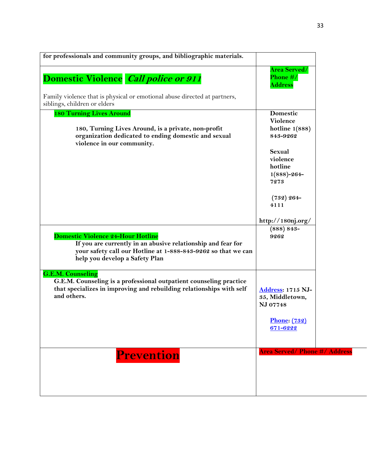| for professionals and community groups, and bibliographic materials.                                                                                                                                        |                                                   |
|-------------------------------------------------------------------------------------------------------------------------------------------------------------------------------------------------------------|---------------------------------------------------|
| Domestic Violence Call police or 911                                                                                                                                                                        | <b>Area Served/</b><br>Phone #/<br><b>Address</b> |
| Family violence that is physical or emotional abuse directed at partners,<br>siblings, children or elders                                                                                                   |                                                   |
| <b>180 Turning Lives Around</b>                                                                                                                                                                             | Domestic<br>Violence                              |
| 180, Turning Lives Around, is a private, non-profit<br>organization dedicated to ending domestic and sexual<br>violence in our community.                                                                   | hotline $1(888)$<br>843-9262                      |
|                                                                                                                                                                                                             | Sexual                                            |
|                                                                                                                                                                                                             | violence<br>hotline                               |
|                                                                                                                                                                                                             | $1(888) - 264-$                                   |
|                                                                                                                                                                                                             | 7273                                              |
|                                                                                                                                                                                                             | $(732) 264-$                                      |
|                                                                                                                                                                                                             | 4111                                              |
|                                                                                                                                                                                                             | http://180nj.org/                                 |
| <b>Domestic Violence 24-Hour Hotline</b><br>If you are currently in an abusive relationship and fear for<br>your safety call our Hotline at 1-888-843-9262 so that we can<br>help you develop a Safety Plan | $(888) 843-$<br>9262                              |
| <b>G.E.M. Counseling</b>                                                                                                                                                                                    |                                                   |
| G.E.M. Counseling is a professional outpatient counseling practice<br>that specializes in improving and rebuilding relationships with self                                                                  | <b>Address: 1715 NJ-</b>                          |
| and others.                                                                                                                                                                                                 | 35, Middletown,<br>NJ 07748                       |
|                                                                                                                                                                                                             | <b>Phone:</b> (732)                               |
|                                                                                                                                                                                                             | 671-6222                                          |
|                                                                                                                                                                                                             | <b>Area Served/Phone #/ Address</b>               |
| <b>Prevention</b>                                                                                                                                                                                           |                                                   |
|                                                                                                                                                                                                             |                                                   |
|                                                                                                                                                                                                             |                                                   |
|                                                                                                                                                                                                             |                                                   |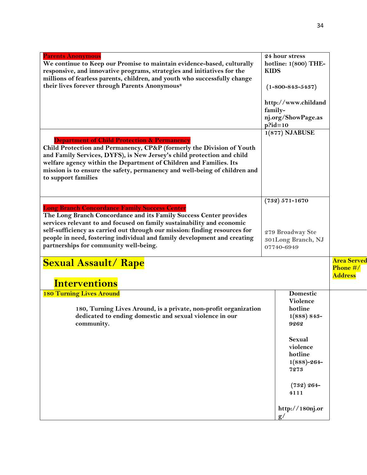| <b>Parents Anonymous</b><br>We continue to Keep our Promise to maintain evidence-based, culturally<br>responsive, and innovative programs, strategies and initiatives for the<br>millions of fearless parents, children, and youth who successfully change<br>their lives forever through Parents Anonymous®                                                                                             | <b>KIDS</b>           | 24 hour stress<br>hotline: 1(800) THE-<br>$(1 - 800 - 843 - 5437)$                    |                                                  |
|----------------------------------------------------------------------------------------------------------------------------------------------------------------------------------------------------------------------------------------------------------------------------------------------------------------------------------------------------------------------------------------------------------|-----------------------|---------------------------------------------------------------------------------------|--------------------------------------------------|
|                                                                                                                                                                                                                                                                                                                                                                                                          | family-<br>$p$ ?id=10 | http://www.childand<br>nj.org/ShowPage.as                                             |                                                  |
| <b>Department of Child Protection &amp; Permanency</b><br>Child Protection and Permanency, CP&P (formerly the Division of Youth<br>and Family Services, DYFS), is New Jersey's child protection and child<br>welfare agency within the Department of Children and Families. Its<br>mission is to ensure the safety, permanency and well-being of children and<br>to support families                     |                       | $1(877)$ NJABUSE                                                                      |                                                  |
| <b>Long Branch Concordance Family Success Center</b><br>The Long Branch Concordance and its Family Success Center provides<br>services relevant to and focused on family sustainability and economic<br>self-sufficiency as carried out through our mission: finding resources for<br>people in need, fostering individual and family development and creating<br>partnerships for community well-being. |                       | $(732) 571 - 1670$<br>279 Broadway Ste<br>301Long Branch, NJ<br>07740-6949            |                                                  |
| <b>Sexual Assault/ Rape</b><br><b>Interventions</b>                                                                                                                                                                                                                                                                                                                                                      |                       |                                                                                       | <b>Area Served</b><br>Phone #/<br><b>Address</b> |
| <b>180 Turning Lives Around</b><br>180, Turning Lives Around, is a private, non-profit organization<br>dedicated to ending domestic and sexual violence in our<br>community.                                                                                                                                                                                                                             |                       | Domestic<br>Violence<br>hotline<br>$1(888) 843-$<br>9262<br><b>Sexual</b><br>violence |                                                  |
|                                                                                                                                                                                                                                                                                                                                                                                                          |                       | hotline<br>$1(888)-264-$<br>7273<br>$(732) 264-$<br>4111                              |                                                  |
|                                                                                                                                                                                                                                                                                                                                                                                                          |                       | http://180nj.or<br>g/                                                                 |                                                  |

34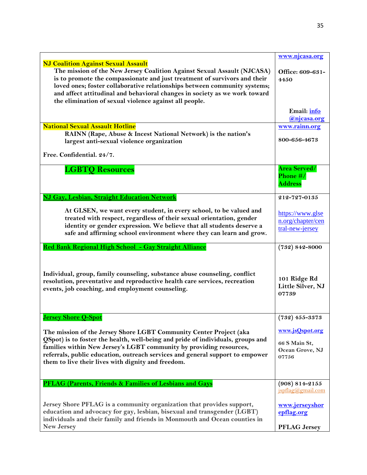|                                                                                                                                                                                                                                                                                                                                                                                                                         | www.njcasa.org                                               |
|-------------------------------------------------------------------------------------------------------------------------------------------------------------------------------------------------------------------------------------------------------------------------------------------------------------------------------------------------------------------------------------------------------------------------|--------------------------------------------------------------|
| <b>NJ Coalition Against Sexual Assault</b><br>The mission of the New Jersey Coalition Against Sexual Assault (NJCASA)<br>is to promote the compassionate and just treatment of survivors and their<br>loved ones; foster collaborative relationships between community systems;<br>and affect attitudinal and behavioral changes in society as we work toward<br>the elimination of sexual violence against all people. | Office: 609-631-<br>4450                                     |
|                                                                                                                                                                                                                                                                                                                                                                                                                         | Email: info<br>@njcasa.org                                   |
| <b>National Sexual Assault Hotline</b><br>RAINN (Rape, Abuse & Incest National Network) is the nation's<br>largest anti-sexual violence organization                                                                                                                                                                                                                                                                    | www.rainn.org<br>800-656-4673                                |
| Free. Confidential. 24/7.                                                                                                                                                                                                                                                                                                                                                                                               |                                                              |
| <b>LGBTQ Resources</b>                                                                                                                                                                                                                                                                                                                                                                                                  | <b>Area Served/</b><br>Phone #/<br><b>Address</b>            |
| NJ Gay, Lesbian, Straight Education Network                                                                                                                                                                                                                                                                                                                                                                             | 212-727-0135                                                 |
| At GLSEN, we want every student, in every school, to be valued and<br>treated with respect, regardless of their sexual orientation, gender<br>identity or gender expression. We believe that all students deserve a<br>safe and affirming school environment where they can learn and grow.                                                                                                                             | https://www.glse<br>n.org/chapter/cen<br>tral-new-jersey     |
| Red Bank Regional High School - Gay Straight Alliance                                                                                                                                                                                                                                                                                                                                                                   | $(732) 842 - 8000$                                           |
| Individual, group, family counseling, substance abuse counseling, conflict<br>resolution, preventative and reproductive health care services, recreation<br>events, job coaching, and employment counseling.                                                                                                                                                                                                            | 101 Ridge Rd<br>Little Silver, NJ<br>07739                   |
| <b>Jersey Shore O-Spot</b>                                                                                                                                                                                                                                                                                                                                                                                              | $(732)$ 455-3373                                             |
| The mission of the Jersey Shore LGBT Community Center Project (aka<br>QSpot) is to foster the health, well-being and pride of individuals, groups and<br>families within New Jersey's LGBT community by providing resources,<br>referrals, public education, outreach services and general support to empower<br>them to live their lives with dignity and freedom.                                                     | www.jsQspot.org<br>66 S Main St,<br>Ocean Grove, NJ<br>07756 |
| <b>PFLAG (Parents, Friends &amp; Families of Lesbians and Gays</b>                                                                                                                                                                                                                                                                                                                                                      | $(908) 814 - 2155$<br>$ispflag(a)$ gmail.com                 |
| Jersey Shore PFLAG is a community organization that provides support,<br>education and advocacy for gay, lesbian, bisexual and transgender (LGBT)<br>individuals and their family and friends in Monmouth and Ocean counties in<br><b>New Jersey</b>                                                                                                                                                                    | www.jerseyshor<br>epflag.org<br><b>PFLAG Jersey</b>          |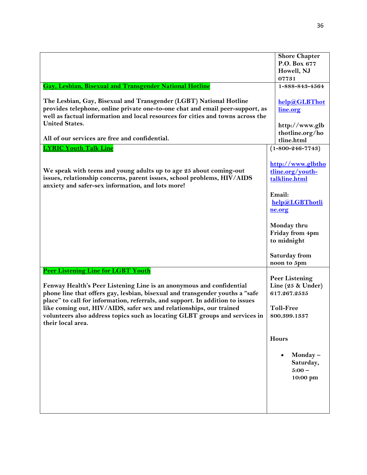| <b>Gay, Lesbian, Bisexual and Transgender National Hotline</b><br>The Lesbian, Gay, Bisexual and Transgender (LGBT) National Hotline<br>provides telephone, online private one-to-one chat and email peer-support, as<br>well as factual information and local resources for cities and towns across the<br><b>United States.</b>                                                                                                                      | <b>Shore Chapter</b><br>P.O. Box 677<br>Howell, NJ<br>07731<br>1-888-843-4564<br>help@GLBThot<br>line.org<br>http://www.glb |
|--------------------------------------------------------------------------------------------------------------------------------------------------------------------------------------------------------------------------------------------------------------------------------------------------------------------------------------------------------------------------------------------------------------------------------------------------------|-----------------------------------------------------------------------------------------------------------------------------|
| All of our services are free and confidential.                                                                                                                                                                                                                                                                                                                                                                                                         | thotline.org/ho<br>tline.html                                                                                               |
| <b>LYRIC Youth Talk Line</b>                                                                                                                                                                                                                                                                                                                                                                                                                           | $(1 - 800 - 246 - 7743)$                                                                                                    |
| We speak with teens and young adults up to age 25 about coming-out<br>issues, relationship concerns, parent issues, school problems, HIV/AIDS<br>anxiety and safer-sex information, and lots more!                                                                                                                                                                                                                                                     | http://www.glbtho<br>tline.org/youth-<br>talkline.html                                                                      |
|                                                                                                                                                                                                                                                                                                                                                                                                                                                        | Email:<br>help@LGBThotli<br>ne.org                                                                                          |
|                                                                                                                                                                                                                                                                                                                                                                                                                                                        | Monday thru<br>Friday from 4pm<br>to midnight                                                                               |
|                                                                                                                                                                                                                                                                                                                                                                                                                                                        | <b>Saturday from</b><br>noon to 5pm                                                                                         |
| Peer Listening Line for LGBT Youth<br>Fenway Health's Peer Listening Line is an anonymous and confidential<br>phone line that offers gay, lesbian, bisexual and transgender youths a "safe<br>place" to call for information, referrals, and support. In addition to issues<br>like coming out, HIV/AIDS, safer sex and relationships, our trained<br>volunteers also address topics such as locating GLBT groups and services in<br>their local area. | <b>Peer Listening</b><br>Line (25 & Under)<br>617.267.2535<br><b>Toll-Free</b><br>800.399.1337                              |
|                                                                                                                                                                                                                                                                                                                                                                                                                                                        | <b>Hours</b><br>Monday $-$<br>$\bullet$<br>Saturday,<br>$5:00 -$<br>10:00 pm                                                |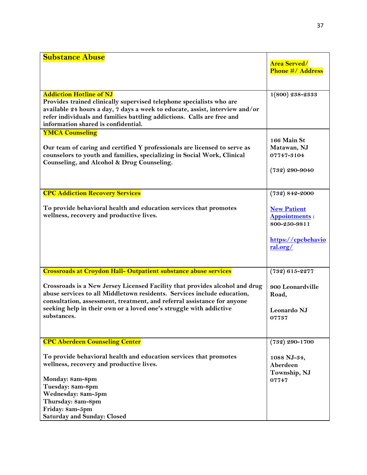| <b>Substance Abuse</b>                                                                                                                                                                                                                                                                                                                                                                           |                                                                                                                    |
|--------------------------------------------------------------------------------------------------------------------------------------------------------------------------------------------------------------------------------------------------------------------------------------------------------------------------------------------------------------------------------------------------|--------------------------------------------------------------------------------------------------------------------|
|                                                                                                                                                                                                                                                                                                                                                                                                  | <b>Area Served/</b><br><b>Phone #/ Address</b>                                                                     |
| <b>Addiction Hotline of NJ</b><br>Provides trained clinically supervised telephone specialists who are<br>available 24 hours a day, 7 days a week to educate, assist, interview and/or<br>refer individuals and families battling addictions. Calls are free and<br>information shared is confidential.                                                                                          | $1(800)$ 238-2333                                                                                                  |
| <b>YMCA Counseling</b><br>Our team of caring and certified Y professionals are licensed to serve as<br>counselors to youth and families, specializing in Social Work, Clinical<br>Counseling, and Alcohol & Drug Counseling.                                                                                                                                                                     | 166 Main St<br>Matawan, NJ<br>07747-3104<br>$(732)$ 290-9040                                                       |
| <b>CPC Addiction Recovery Services</b><br>To provide behavioral health and education services that promotes<br>wellness, recovery and productive lives.                                                                                                                                                                                                                                          | $(732) 842 - 2000$<br><b>New Patient</b><br><b>Appointments:</b><br>800-250-9811<br>https://cpcbehavio<br>ral.org/ |
| <b>Crossroads at Croydon Hall- Outpatient substance abuse services</b><br>Crossroads is a New Jersey Licensed Facility that provides alcohol and drug<br>abuse services to all Middletown residents. Services include education,<br>consultation, assessment, treatment, and referral assistance for anyone<br>seeking help in their own or a loved one's struggle with addictive<br>substances. | $(732) 615 - 2277$<br>900 Leonardville<br>Road,<br>Leonardo NJ<br>07737                                            |
| <b>CPC Aberdeen Counseling Center</b><br>To provide behavioral health and education services that promotes<br>wellness, recovery and productive lives.<br>Monday: 8am-8pm<br>Tuesday: 8am-8pm<br>Wednesday: 8am-5pm<br>Thursday: 8am-8pm<br>Friday: 8am-5pm<br><b>Saturday and Sunday: Closed</b>                                                                                                | $(732)$ 290-1700<br>1088 NJ-34,<br>Aberdeen<br>Township, NJ<br>07747                                               |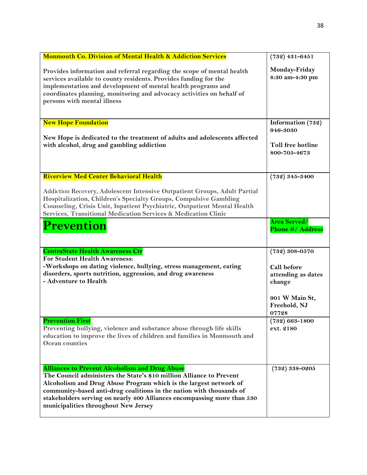| <b>Monmouth Co. Division of Mental Health &amp; Addiction Services</b>                                                                                                                                                                                                                                                                                                                        | $(732)$ 431-6451                            |
|-----------------------------------------------------------------------------------------------------------------------------------------------------------------------------------------------------------------------------------------------------------------------------------------------------------------------------------------------------------------------------------------------|---------------------------------------------|
| Provides information and referral regarding the scope of mental health<br>services available to county residents. Provides funding for the<br>implementation and development of mental health programs and<br>coordinates planning, monitoring and advocacy activities on behalf of<br>persons with mental illness                                                                            | Monday-Friday<br>8:30 am-4:30 pm            |
| <b>New Hope Foundation</b>                                                                                                                                                                                                                                                                                                                                                                    | Information (732)<br>946-3030               |
| New Hope is dedicated to the treatment of adults and adolescents affected<br>with alcohol, drug and gambling addiction                                                                                                                                                                                                                                                                        | Toll free hotline<br>800-705-4673           |
| <b>Riverview Med Center Behavioral Health</b>                                                                                                                                                                                                                                                                                                                                                 | $(732) 345 - 3400$                          |
| Addiction Recovery, Adolescent Intensive Outpatient Groups, Adult Partial<br>Hospitalization, Children's Specialty Groups, Compulsive Gambling<br>Counseling, Crisis Unit, Inpatient Psychiatric, Outpatient Mental Health<br>Services, Transitional Medication Services & Medication Clinic                                                                                                  |                                             |
| Prevention                                                                                                                                                                                                                                                                                                                                                                                    | <b>Area Served/</b><br>Phone #/ Address     |
| <b>CentraState Health Awareness Ctr</b>                                                                                                                                                                                                                                                                                                                                                       | $(732) 308 - 0570$                          |
| <b>For Student Health Awareness:</b><br>-Workshops on dating violence, bullying, stress management, eating<br>disorders, sports nutrition, aggression, and drug awareness<br>- Adventure to Health                                                                                                                                                                                            | Call before<br>attending as dates<br>change |
|                                                                                                                                                                                                                                                                                                                                                                                               | 901 W Main St,<br>Freehold, NJ<br>07728     |
| <b>Prevention First</b><br>Preventing bullying, violence and substance abuse through life skills<br>education to improve the lives of children and families in Monmouth and<br><b>Ocean counties</b>                                                                                                                                                                                          | $(732) 663 - 1800$<br>ext. 2180             |
| <b>Alliances to Prevent Alcoholism and Drug Abuse</b><br>The Council administers the State's \$10 million Alliance to Prevent<br>Alcoholism and Drug Abuse Program which is the largest network of<br>community-based anti-drug coalitions in the nation with thousands of<br>stakeholders serving on nearly 400 Alliances encompassing more than 530<br>municipalities throughout New Jersey | $(732) 338 - 0205$                          |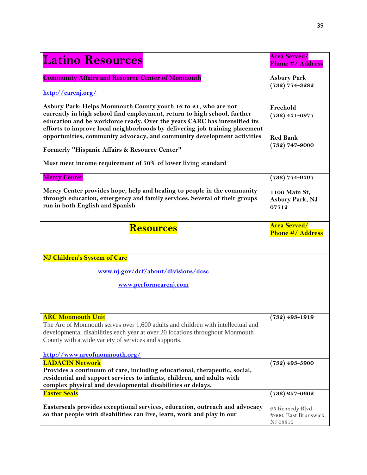| <b>Latino Resources</b>                                                                                                                                                                                                                                                                                | <b>Area Served/</b><br><b>Phone #/ Address</b>       |
|--------------------------------------------------------------------------------------------------------------------------------------------------------------------------------------------------------------------------------------------------------------------------------------------------------|------------------------------------------------------|
| <b>Community Affairs and Resource Center of Monmouth</b><br>http://carcnj.org/                                                                                                                                                                                                                         | <b>Asbury Park</b><br>$(732)$ 774-3282               |
| Asbury Park: Helps Monmouth County youth 16 to 21, who are not<br>currently in high school find employment, return to high school, further<br>education and be workforce ready. Over the years CARC has intensified its<br>efforts to improve local neighborhoods by delivering job training placement | Freehold<br>$(732)$ 431-6977                         |
| opportunities, community advocacy, and community development activities<br>Formerly "Hispanic Affairs & Resource Center"                                                                                                                                                                               | <b>Red Bank</b><br>$(732)$ 747-9000                  |
| Must meet income requirement of 70% of lower living standard                                                                                                                                                                                                                                           |                                                      |
| <b>Mercy Center</b>                                                                                                                                                                                                                                                                                    | $(732)$ 774-9397                                     |
| Mercy Center provides hope, help and healing to people in the community<br>through education, emergency and family services. Several of their groups<br>run in both English and Spanish                                                                                                                | 1106 Main St,<br>Asbury Park, NJ<br>07712            |
| <b>Resources</b>                                                                                                                                                                                                                                                                                       | <b>Area Served/</b><br><b>Phone #/ Address</b>       |
| NJ Children's System of Care                                                                                                                                                                                                                                                                           |                                                      |
| www.nj.gov/dcf/about/divisions/dcsc                                                                                                                                                                                                                                                                    |                                                      |
| www.performcarenj.com                                                                                                                                                                                                                                                                                  |                                                      |
| <b>ARC Monmouth Unit</b><br>The Arc of Monmouth serves over 1,600 adults and children with intellectual and<br>developmental disabilities each year at over 20 locations throughout Monmouth<br>County with a wide variety of services and supports.                                                   | $(732)$ 493-1919                                     |
| http://www.arcofmonmouth.org/                                                                                                                                                                                                                                                                          |                                                      |
| <b>LADACIN Network</b><br>Provides a continuum of care, including educational, therapeutic, social,<br>residential and support services to infants, children, and adults with<br>complex physical and developmental disabilities or delays.                                                            | $(732)$ 493-5900                                     |
| <b>Easter Seals</b>                                                                                                                                                                                                                                                                                    | $(732)$ 257-6662                                     |
| Easterseals provides exceptional services, education, outreach and advocacy<br>so that people with disabilities can live, learn, work and play in our                                                                                                                                                  | 25 Kennedy Blvd<br>#600, East Brunswick,<br>NJ 08816 |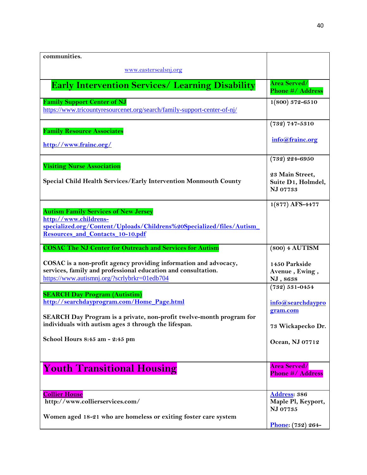| communities.                                                                                                                                                                            |                                                     |
|-----------------------------------------------------------------------------------------------------------------------------------------------------------------------------------------|-----------------------------------------------------|
| www.eastersealsnj.org                                                                                                                                                                   |                                                     |
| <b>Early Intervention Services/ Learning Disability</b>                                                                                                                                 | <b>Area Served/</b><br>Phone #/ Address             |
| <b>Family Support Center of NJ</b><br>https://www.tricountyresourcenet.org/search/family-support-center-of-nj/                                                                          | $1(800)$ 372-6510                                   |
|                                                                                                                                                                                         | $(732) 747 - 5310$                                  |
| <b>Family Resource Associates</b><br>http://www.frainc.org/                                                                                                                             | info@frainc.org                                     |
| <b>Visiting Nurse Association</b>                                                                                                                                                       | $(732) 224 - 6950$                                  |
| Special Child Health Services/Early Intervention Monmouth County                                                                                                                        | 23 Main Street,<br>Suite D1, Holmdel,<br>NJ 07733   |
| <b>Autism Family Services of New Jersey</b><br>http://www.childrens-<br>specialized.org/Content/Uploads/Childrens%20Specialized/files/Autism<br><b>Resources and Contacts 10-10.pdf</b> | $1(877)$ AFS-4477                                   |
| <b>COSAC The NJ Center for Outreach and Services for Autism</b>                                                                                                                         | (800) 4 AUTISM                                      |
| COSAC is a non-profit agency providing information and advocacy,<br>services, family and professional education and consultation.<br>https://www.autismnj.org/?scrlybrkr=01edb704       | 1450 Parkside<br>Avenue, Ewing,<br>NJ, 8638         |
| <b>SEARCH Day Program (Autistim)</b><br>http://searchdayprogram.com/Home Page.html                                                                                                      | $(732) 531 - 0454$<br>info@searchdaypro<br>gram.com |
| SEARCH Day Program is a private, non-profit twelve-month program for<br>individuals with autism ages 3 through the lifespan.                                                            | 73 Wickapecko Dr.                                   |
| School Hours 8:45 am - 2:45 pm                                                                                                                                                          | Ocean, NJ 07712                                     |
| <b>Youth Transitional Housing</b>                                                                                                                                                       | <b>Area Served/</b><br><b>Phone #/ Address</b>      |
| <b>Collier House</b>                                                                                                                                                                    | Address: 386                                        |
| http://www.collierservices.com/                                                                                                                                                         | Maple Pl, Keyport,<br>NJ 07735                      |
| Women aged 18-21 who are homeless or exiting foster care system                                                                                                                         | Phone: (732) 264-                                   |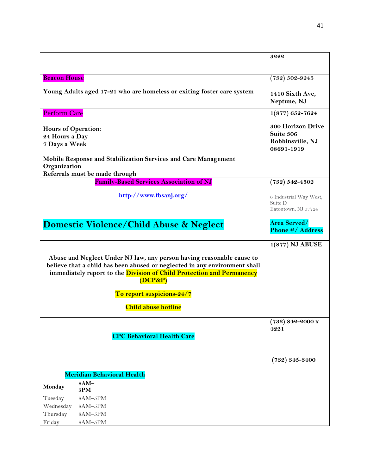|                                                               |                                                                                                                                                                                                                                                   | 3222                                                             |
|---------------------------------------------------------------|---------------------------------------------------------------------------------------------------------------------------------------------------------------------------------------------------------------------------------------------------|------------------------------------------------------------------|
|                                                               |                                                                                                                                                                                                                                                   |                                                                  |
| <b>Beacon House</b>                                           |                                                                                                                                                                                                                                                   | $(732) 502 - 9245$                                               |
|                                                               | Young Adults aged 17-21 who are homeless or exiting foster care system                                                                                                                                                                            | 1410 Sixth Ave,<br>Neptune, NJ                                   |
| <b>Perform Care</b>                                           |                                                                                                                                                                                                                                                   | $1(877) 652 - 7624$                                              |
| <b>Hours of Operation:</b><br>24 Hours a Day<br>7 Days a Week |                                                                                                                                                                                                                                                   | 300 Horizon Drive<br>Suite 306<br>Robbinsville, NJ<br>08691-1919 |
|                                                               | Mobile Response and Stabilization Services and Care Management                                                                                                                                                                                    |                                                                  |
| Organization                                                  | Referrals must be made through                                                                                                                                                                                                                    |                                                                  |
|                                                               | <b>Family-Based Services Association of NJ</b>                                                                                                                                                                                                    | $(732) 542 - 4502$                                               |
|                                                               | http://www.fbsanj.org/                                                                                                                                                                                                                            | 6 Industrial Way West,<br>Suite D<br>Eatontown, NJ 07724         |
|                                                               | <b>Domestic Violence/Child Abuse &amp; Neglect</b>                                                                                                                                                                                                | <b>Area Served/</b><br><b>Phone #/ Address</b>                   |
|                                                               | Abuse and Neglect Under NJ law, any person having reasonable cause to<br>believe that a child has been abused or neglected in any environment shall<br>immediately report to the <i>Division of Child Protection and Permanency</i><br>$(DCP\&P)$ | 1(877) NJ ABUSE                                                  |
|                                                               | To report suspicions-24/7                                                                                                                                                                                                                         |                                                                  |
|                                                               | <b>Child abuse hotline</b>                                                                                                                                                                                                                        |                                                                  |
|                                                               | <b>CPC Behavioral Health Care</b>                                                                                                                                                                                                                 | $(732) 842 - 2000$ x<br>4221                                     |
|                                                               | <b>Meridian Behavioral Health</b>                                                                                                                                                                                                                 | $(732) 345 - 3400$                                               |
| Monday                                                        | 8AM-<br>5PM                                                                                                                                                                                                                                       |                                                                  |
| Tuesday                                                       | 8AM-5PM                                                                                                                                                                                                                                           |                                                                  |
| Wednesday                                                     | 8AM-5PM                                                                                                                                                                                                                                           |                                                                  |
| Thursday<br>Friday                                            | 8AM-5PM<br>8AM-5PM                                                                                                                                                                                                                                |                                                                  |
|                                                               |                                                                                                                                                                                                                                                   |                                                                  |